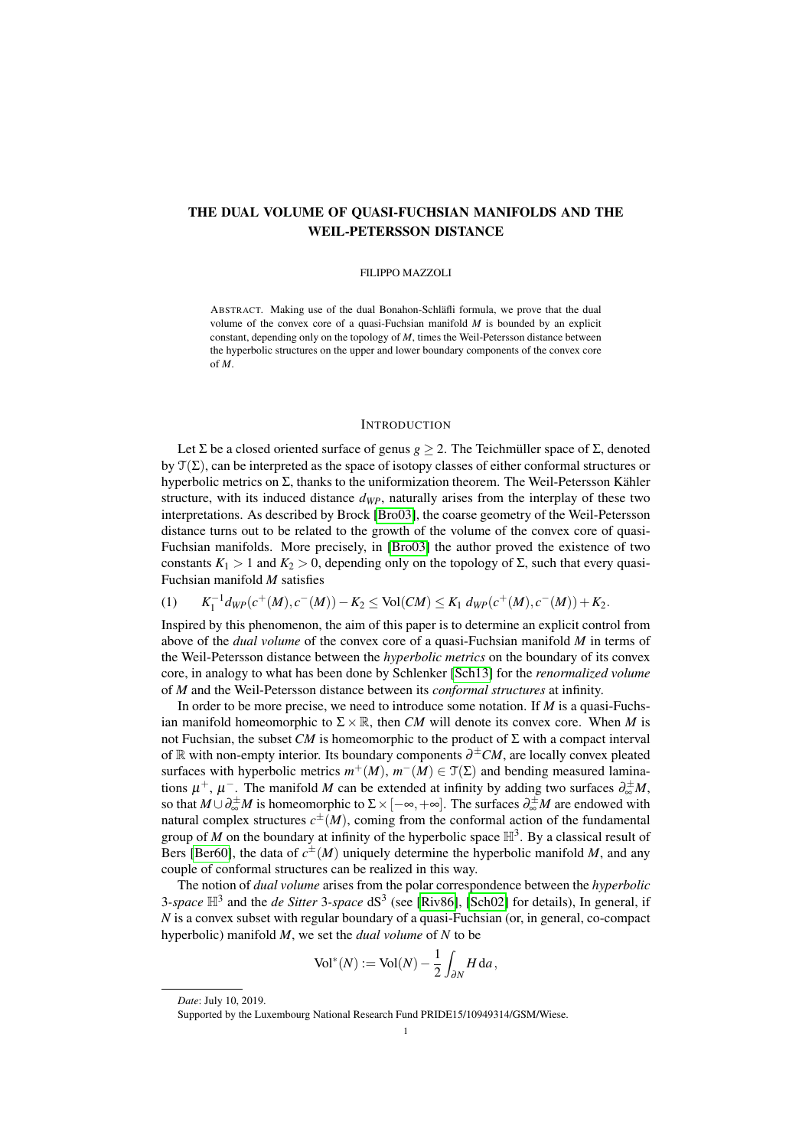# THE DUAL VOLUME OF QUASI-FUCHSIAN MANIFOLDS AND THE WEIL-PETERSSON DISTANCE

### FILIPPO MAZZOLI

ABSTRACT. Making use of the dual Bonahon-Schläfli formula, we prove that the dual volume of the convex core of a quasi-Fuchsian manifold *M* is bounded by an explicit constant, depending only on the topology of *M*, times the Weil-Petersson distance between the hyperbolic structures on the upper and lower boundary components of the convex core of *M*.

### **INTRODUCTION**

Let  $\Sigma$  be a closed oriented surface of genus  $g \geq 2$ . The Teichmüller space of  $\Sigma$ , denoted by  $\mathcal{T}(\Sigma)$ , can be interpreted as the space of isotopy classes of either conformal structures or hyperbolic metrics on Σ, thanks to the uniformization theorem. The Weil-Petersson Kähler structure, with its induced distance *dWP*, naturally arises from the interplay of these two interpretations. As described by Brock [\[Bro03\]](#page-20-0), the coarse geometry of the Weil-Petersson distance turns out to be related to the growth of the volume of the convex core of quasi-Fuchsian manifolds. More precisely, in [\[Bro03\]](#page-20-0) the author proved the existence of two constants  $K_1 > 1$  and  $K_2 > 0$ , depending only on the topology of  $\Sigma$ , such that every quasi-Fuchsian manifold *M* satisfies

<span id="page-0-0"></span> $(1)$  $K_1^{-1}$  *d*<sub>*WP*</sub>(*c*<sup>+</sup>(*M*), *c*<sup>−</sup>(*M*)) − *K*<sub>2</sub> ≤ Vol(*CM*) ≤ *K*<sub>1</sub> *d*<sub>*WP*</sub>(*c*<sup>+</sup>(*M*), *c*<sup>−</sup>(*M*)) + *K*<sub>2</sub>.

Inspired by this phenomenon, the aim of this paper is to determine an explicit control from above of the *dual volume* of the convex core of a quasi-Fuchsian manifold *M* in terms of the Weil-Petersson distance between the *hyperbolic metrics* on the boundary of its convex core, in analogy to what has been done by Schlenker [\[Sch13\]](#page-21-0) for the *renormalized volume* of *M* and the Weil-Petersson distance between its *conformal structures* at infinity.

In order to be more precise, we need to introduce some notation. If *M* is a quasi-Fuchsian manifold homeomorphic to  $\Sigma \times \mathbb{R}$ , then *CM* will denote its convex core. When *M* is not Fuchsian, the subset *CM* is homeomorphic to the product of Σ with a compact interval of R with non-empty interior. Its boundary components ∂ <sup>±</sup>*CM*, are locally convex pleated surfaces with hyperbolic metrics  $m^+(M)$ ,  $m^-(M) \in \mathcal{T}(\Sigma)$  and bending measured laminations  $\mu^+$ ,  $\mu^-$ . The manifold *M* can be extended at infinity by adding two surfaces  $\partial_{\infty}^{\pm}M$ , so that  $M \cup \partial_{\infty}^{\pm}M$  is homeomorphic to  $\Sigma \times [-\infty, +\infty]$ . The surfaces  $\partial_{\infty}^{\pm}M$  are endowed with natural complex structures  $c^{\pm}(M)$ , coming from the conformal action of the fundamental group of *M* on the boundary at infinity of the hyperbolic space  $\mathbb{H}^3$ . By a classical result of Bers [\[Ber60\]](#page-20-1), the data of  $c^{\pm}(M)$  uniquely determine the hyperbolic manifold *M*, and any couple of conformal structures can be realized in this way.

The notion of *dual volume* arises from the polar correspondence between the *hyperbolic* 3-space  $\mathbb{H}^3$  and the *de Sitter* 3-space  $dS^3$  (see [\[Riv86\]](#page-21-1), [\[Sch02\]](#page-21-2) for details), In general, if *N* is a convex subset with regular boundary of a quasi-Fuchsian (or, in general, co-compact hyperbolic) manifold *M*, we set the *dual volume* of *N* to be

$$
\text{Vol}^*(N) := \text{Vol}(N) - \frac{1}{2} \int_{\partial N} H \, \mathrm{d}a,
$$

*Date*: July 10, 2019.

Supported by the Luxembourg National Research Fund PRIDE15/10949314/GSM/Wiese.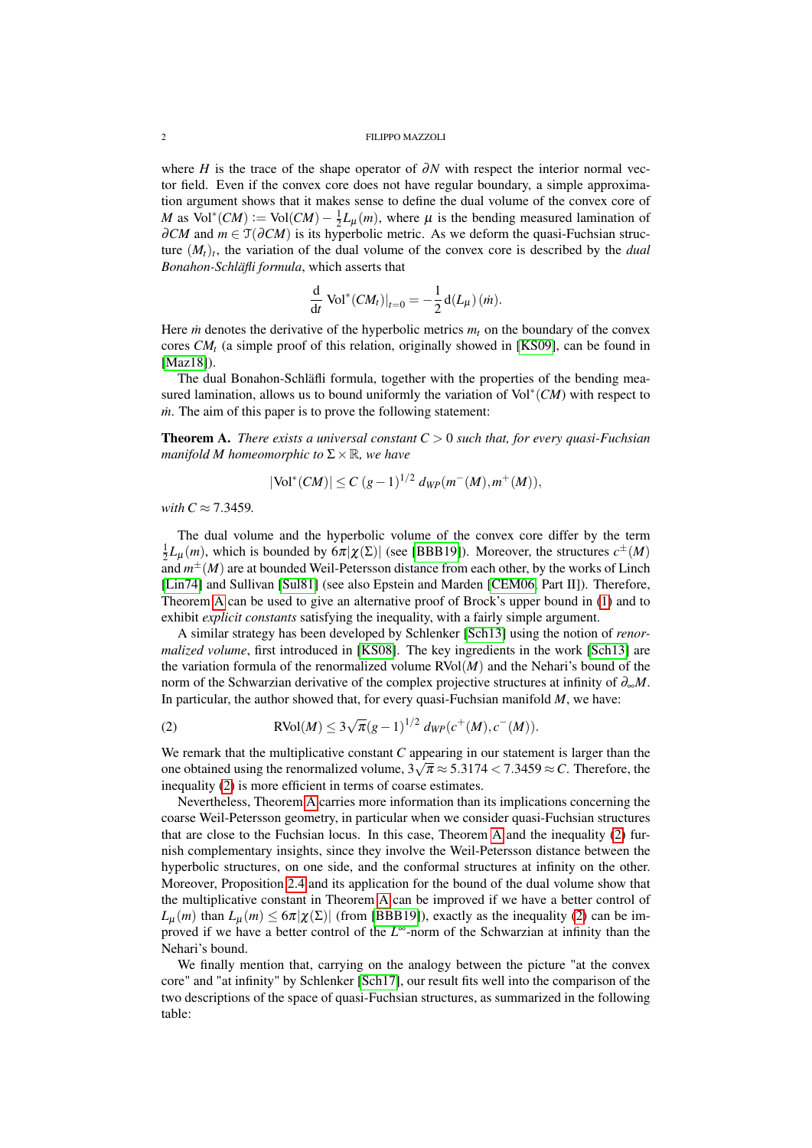where *H* is the trace of the shape operator of  $\partial N$  with respect the interior normal vector field. Even if the convex core does not have regular boundary, a simple approximation argument shows that it makes sense to define the dual volume of the convex core of *M* as  $Vol^*(CM) := Vol(CM) - \frac{1}{2}L_\mu(m)$ , where  $\mu$  is the bending measured lamination of  $\partial CM$  and  $m \in \mathfrak{T}(\partial CM)$  is its hyperbolic metric. As we deform the quasi-Fuchsian structure (*Mt*)*<sup>t</sup>* , the variation of the dual volume of the convex core is described by the *dual Bonahon-Schläfli formula*, which asserts that

$$
\frac{\mathrm{d}}{\mathrm{d}t} \operatorname{Vol}^*(CM_t)|_{t=0} = -\frac{1}{2} \operatorname{d}(L_\mu)(m).
$$

Here *in* denotes the derivative of the hyperbolic metrics  $m_t$  on the boundary of the convex cores *CM<sup>t</sup>* (a simple proof of this relation, originally showed in [\[KS09\]](#page-20-2), can be found in [\[Maz18\]](#page-21-3)).

The dual Bonahon-Schläfli formula, together with the properties of the bending measured lamination, allows us to bound uniformly the variation of Vol<sup>∗</sup> (*CM*) with respect to *m*. The aim of this paper is to prove the following statement:

<span id="page-1-0"></span>**Theorem A.** *There exists a universal constant*  $C > 0$  *such that, for every quasi-Fuchsian manifold M homeomorphic to*  $\Sigma \times \mathbb{R}$ *, we have* 

$$
|\text{Vol}^*(CM)| \le C (g-1)^{1/2} \, d_{WP}(m^-(M), m^+(M)),
$$

*with*  $C \approx 7.3459$ .

The dual volume and the hyperbolic volume of the convex core differ by the term  $\frac{1}{2}L_{\mu}(m)$ , which is bounded by  $6\pi|\chi(\Sigma)|$  (see [\[BBB19\]](#page-20-3)). Moreover, the structures  $c^{\pm}(M)$ and  $m^{\pm}(M)$  are at bounded Weil-Petersson distance from each other, by the works of Linch [\[Lin74\]](#page-21-4) and Sullivan [\[Sul81\]](#page-21-5) (see also Epstein and Marden [\[CEM06,](#page-20-4) Part II]). Therefore, Theorem [A](#page-1-0) can be used to give an alternative proof of Brock's upper bound in [\(1\)](#page-0-0) and to exhibit *explicit constants* satisfying the inequality, with a fairly simple argument.

A similar strategy has been developed by Schlenker [\[Sch13\]](#page-21-0) using the notion of *renormalized volume*, first introduced in [\[KS08\]](#page-20-5). The key ingredients in the work [\[Sch13\]](#page-21-0) are the variation formula of the renormalized volume  $RVol(M)$  and the Nehari's bound of the norm of the Schwarzian derivative of the complex projective structures at infinity of ∂∞*M*. In particular, the author showed that, for every quasi-Fuchsian manifold *M*, we have:

<span id="page-1-1"></span>(2) 
$$
\text{RVol}(M) \leq 3\sqrt{\pi}(g-1)^{1/2} \, d_{WP}(c^+(M), c^-(M)).
$$

We remark that the multiplicative constant *C* appearing in our statement is larger than the we remark that the multiplicative constant C appearing in our statement is farger than the one obtained using the renormalized volume,  $3\sqrt{\pi} \approx 5.3174 < 7.3459 \approx C$ . Therefore, the inequality [\(2\)](#page-1-1) is more efficient in terms of coarse estimates.

Nevertheless, Theorem [A](#page-1-0) carries more information than its implications concerning the coarse Weil-Petersson geometry, in particular when we consider quasi-Fuchsian structures that are close to the Fuchsian locus. In this case, Theorem [A](#page-1-0) and the inequality [\(2\)](#page-1-1) furnish complementary insights, since they involve the Weil-Petersson distance between the hyperbolic structures, on one side, and the conformal structures at infinity on the other. Moreover, Proposition [2.4](#page-9-0) and its application for the bound of the dual volume show that the multiplicative constant in Theorem [A](#page-1-0) can be improved if we have a better control of  $L_{\mu}(m)$  than  $L_{\mu}(m) \leq 6\pi |\chi(\Sigma)|$  (from [\[BBB19\]](#page-20-3)), exactly as the inequality [\(2\)](#page-1-1) can be improved if we have a better control of the *L* <sup>∞</sup>-norm of the Schwarzian at infinity than the Nehari's bound.

We finally mention that, carrying on the analogy between the picture "at the convex core" and "at infinity" by Schlenker [\[Sch17\]](#page-21-6), our result fits well into the comparison of the two descriptions of the space of quasi-Fuchsian structures, as summarized in the following table: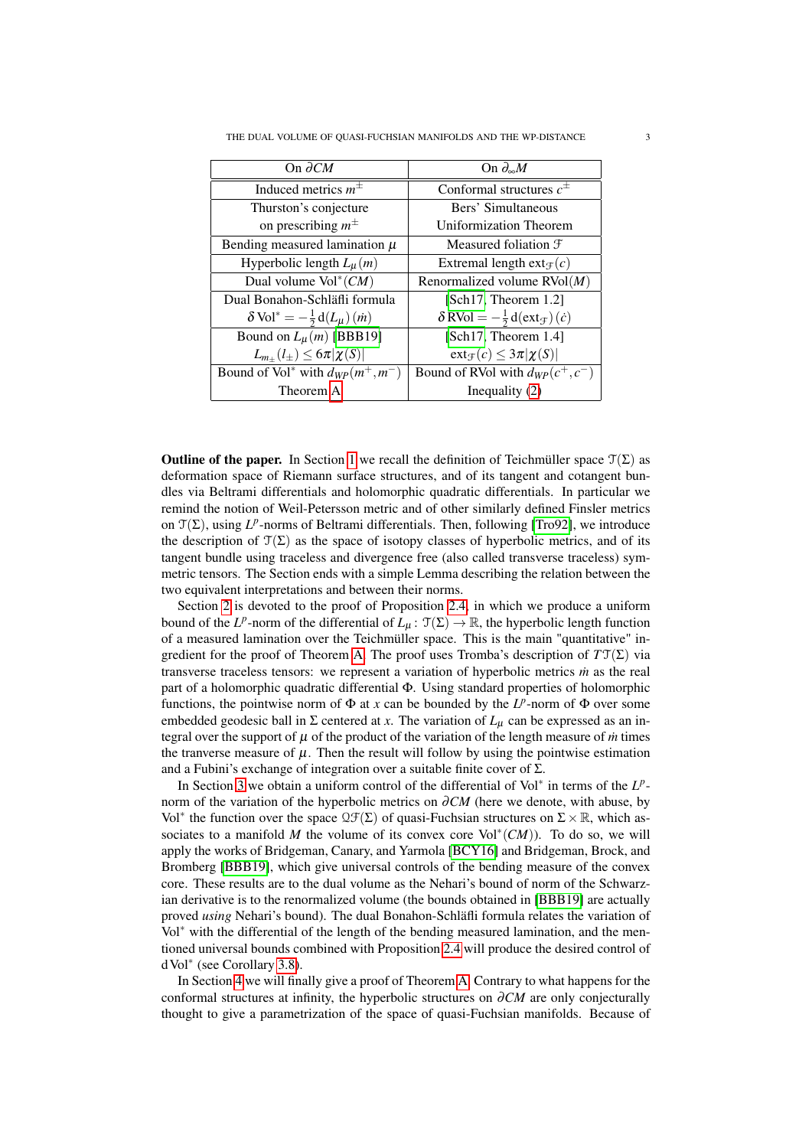| On $\partial CM$                                  | On $\partial_{\infty}M$                                          |
|---------------------------------------------------|------------------------------------------------------------------|
| Induced metrics $m^{\pm}$                         | Conformal structures $c^{\pm}$                                   |
| Thurston's conjecture                             | Bers' Simultaneous                                               |
| on prescribing $m^{\pm}$                          | Uniformization Theorem                                           |
| Bending measured lamination $\mu$                 | Measured foliation $\mathfrak F$                                 |
| Hyperbolic length $L_{\mu}(m)$                    | Extremal length $ext{ext}_{\mathcal{F}}(c)$                      |
| Dual volume $Vol^*(CM)$                           | Renormalized volume $RVol(M)$                                    |
| Dual Bonahon-Schläfli formula                     | [Sch17, Theorem 1.2]                                             |
| $\delta \text{Vol}^* = -\frac{1}{2} d(L_\mu)(m)$  | $\delta$ RVol = $-\frac{1}{2}$ d(ext <sub>T</sub> ) ( <i>c</i> ) |
| Bound on $L_{\mu}(m)$ [BBB19]                     | [Sch17, Theorem 1.4]                                             |
| $L_{m+}(l_{\pm}) \leq 6\pi  \chi(S) $             | $ext_{\mathcal{F}}(c) \leq 3\pi  \chi(S) $                       |
| Bound of Vol <sup>*</sup> with $d_{WP}(m^+, m^-)$ | Bound of RVol with $d_{WP}(c^+, c^-)$                            |
| Theorem A                                         | Inequality $(2)$                                                 |

**Outline of the paper.** In Section [1](#page-3-0) we recall the definition of Teichmüller space  $\mathcal{T}(\Sigma)$  as deformation space of Riemann surface structures, and of its tangent and cotangent bundles via Beltrami differentials and holomorphic quadratic differentials. In particular we remind the notion of Weil-Petersson metric and of other similarly defined Finsler metrics on  $\mathcal{T}(\Sigma)$ , using  $L^p$ -norms of Beltrami differentials. Then, following [\[Tro92\]](#page-21-7), we introduce the description of  $\mathcal{T}(\Sigma)$  as the space of isotopy classes of hyperbolic metrics, and of its tangent bundle using traceless and divergence free (also called transverse traceless) symmetric tensors. The Section ends with a simple Lemma describing the relation between the two equivalent interpretations and between their norms.

Section [2](#page-6-0) is devoted to the proof of Proposition [2.4,](#page-9-0) in which we produce a uniform bound of the *L<sup>p</sup>*-norm of the differential of  $L_{\mu}$ :  $\mathfrak{T}(\Sigma) \to \mathbb{R}$ , the hyperbolic length function of a measured lamination over the Teichmüller space. This is the main "quantitative" ingredient for the proof of Theorem [A.](#page-1-0) The proof uses Tromba's description of *T*T(Σ) via transverse traceless tensors: we represent a variation of hyperbolic metrics  $\dot{m}$  as the real part of a holomorphic quadratic differential Φ. Using standard properties of holomorphic functions, the pointwise norm of  $\Phi$  at *x* can be bounded by the  $L^p$ -norm of  $\Phi$  over some embedded geodesic ball in  $\Sigma$  centered at *x*. The variation of  $L_{\mu}$  can be expressed as an integral over the support of  $\mu$  of the product of the variation of the length measure of  $\dot{m}$  times the tranverse measure of  $\mu$ . Then the result will follow by using the pointwise estimation and a Fubini's exchange of integration over a suitable finite cover of  $\Sigma$ .

In Section [3](#page-10-0) we obtain a uniform control of the differential of Vol<sup>∗</sup> in terms of the *L p* norm of the variation of the hyperbolic metrics on ∂*CM* (here we denote, with abuse, by Vol<sup>∗</sup> the function over the space  $\mathfrak{QF}(\Sigma)$  of quasi-Fuchsian structures on  $\Sigma \times \mathbb{R}$ , which associates to a manifold M the volume of its convex core  $Vol^*(CM)$ ). To do so, we will apply the works of Bridgeman, Canary, and Yarmola [\[BCY16\]](#page-20-6) and Bridgeman, Brock, and Bromberg [\[BBB19\]](#page-20-3), which give universal controls of the bending measure of the convex core. These results are to the dual volume as the Nehari's bound of norm of the Schwarzian derivative is to the renormalized volume (the bounds obtained in [\[BBB19\]](#page-20-3) are actually proved *using* Nehari's bound). The dual Bonahon-Schläfli formula relates the variation of Vol<sup>∗</sup> with the differential of the length of the bending measured lamination, and the mentioned universal bounds combined with Proposition [2.4](#page-9-0) will produce the desired control of dVol<sup>∗</sup> (see Corollary [3.8\)](#page-12-0).

In Section [4](#page-13-0) we will finally give a proof of Theorem [A.](#page-1-0) Contrary to what happens for the conformal structures at infinity, the hyperbolic structures on ∂*CM* are only conjecturally thought to give a parametrization of the space of quasi-Fuchsian manifolds. Because of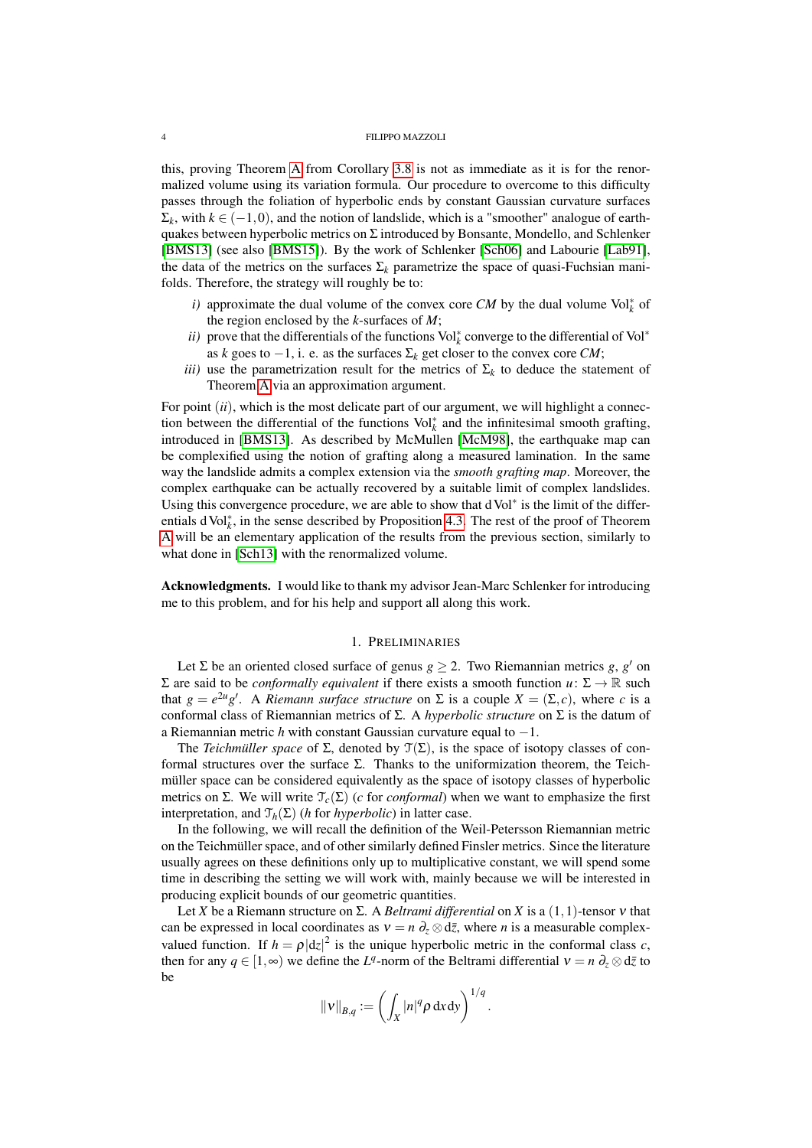this, proving Theorem [A](#page-1-0) from Corollary [3.8](#page-12-0) is not as immediate as it is for the renormalized volume using its variation formula. Our procedure to overcome to this difficulty passes through the foliation of hyperbolic ends by constant Gaussian curvature surfaces  $\Sigma_k$ , with  $k \in (-1,0)$ , and the notion of landslide, which is a "smoother" analogue of earthquakes between hyperbolic metrics on  $\Sigma$  introduced by Bonsante, Mondello, and Schlenker [\[BMS13\]](#page-20-7) (see also [\[BMS15\]](#page-20-8)). By the work of Schlenker [\[Sch06\]](#page-21-8) and Labourie [\[Lab91\]](#page-21-9), the data of the metrics on the surfaces  $\Sigma_k$  parametrize the space of quasi-Fuchsian manifolds. Therefore, the strategy will roughly be to:

- *i*) approximate the dual volume of the convex core *CM* by the dual volume Vol $^*$ <sub>k</sub> of the region enclosed by the *k*-surfaces of *M*;
- *ii*) prove that the differentials of the functions  $Vol_k^*$  converge to the differential of  $Vol^*$ as *k* goes to  $-1$ , i. e. as the surfaces  $\Sigma_k$  get closer to the convex core *CM*;
- *iii*) use the parametrization result for the metrics of  $\Sigma_k$  to deduce the statement of Theorem [A](#page-1-0) via an approximation argument.

For point *(ii)*, which is the most delicate part of our argument, we will highlight a connection between the differential of the functions  $Vol<sub>k</sub><sup>*</sup>$  and the infinitesimal smooth grafting, introduced in [\[BMS13\]](#page-20-7). As described by McMullen [\[McM98\]](#page-21-10), the earthquake map can be complexified using the notion of grafting along a measured lamination. In the same way the landslide admits a complex extension via the *smooth grafting map*. Moreover, the complex earthquake can be actually recovered by a suitable limit of complex landslides. Using this convergence procedure, we are able to show that dVol<sup>∗</sup> is the limit of the differ-entials d Vol<sup>∗</sup><sub>k</sub>, in the sense described by Proposition [4.3.](#page-15-0) The rest of the proof of Theorem [A](#page-1-0) will be an elementary application of the results from the previous section, similarly to what done in [\[Sch13\]](#page-21-0) with the renormalized volume.

Acknowledgments. I would like to thank my advisor Jean-Marc Schlenker for introducing me to this problem, and for his help and support all along this work.

# 1. PRELIMINARIES

<span id="page-3-0"></span>Let  $\Sigma$  be an oriented closed surface of genus  $g \geq 2$ . Two Riemannian metrics *g*, *g'* on Σ are said to be *conformally equivalent* if there exists a smooth function *u*: Σ → R such that  $g = e^{2u}g'$ . A *Riemann surface structure* on  $\Sigma$  is a couple  $X = (\Sigma, c)$ , where *c* is a conformal class of Riemannian metrics of Σ. A *hyperbolic structure* on Σ is the datum of a Riemannian metric *h* with constant Gaussian curvature equal to −1.

The *Teichmüller space* of  $\Sigma$ , denoted by  $\mathcal{T}(\Sigma)$ , is the space of isotopy classes of conformal structures over the surface Σ. Thanks to the uniformization theorem, the Teichmüller space can be considered equivalently as the space of isotopy classes of hyperbolic metrics on Σ. We will write  $\mathcal{T}_c(\Sigma)$  (*c* for *conformal*) when we want to emphasize the first interpretation, and  $\mathcal{T}_h(\Sigma)$  (*h* for *hyperbolic*) in latter case.

In the following, we will recall the definition of the Weil-Petersson Riemannian metric on the Teichmüller space, and of other similarly defined Finsler metrics. Since the literature usually agrees on these definitions only up to multiplicative constant, we will spend some time in describing the setting we will work with, mainly because we will be interested in producing explicit bounds of our geometric quantities.

Let *X* be a Riemann structure on  $\Sigma$ . A *Beltrami differential* on *X* is a  $(1,1)$ -tensor *v* that can be expressed in local coordinates as  $v = n \partial_z \otimes d\bar{z}$ , where *n* is a measurable complexvalued function. If  $h = \rho |dz|^2$  is the unique hyperbolic metric in the conformal class *c*, then for any  $q \in [1, \infty)$  we define the  $L^q$ -norm of the Beltrami differential  $v = n \partial_z \otimes d\overline{z}$  to be

$$
\|\mathbf{v}\|_{B,q} := \left(\int_X |n|^q \rho \, \mathrm{d}x \, \mathrm{d}y\right)^{1/q}.
$$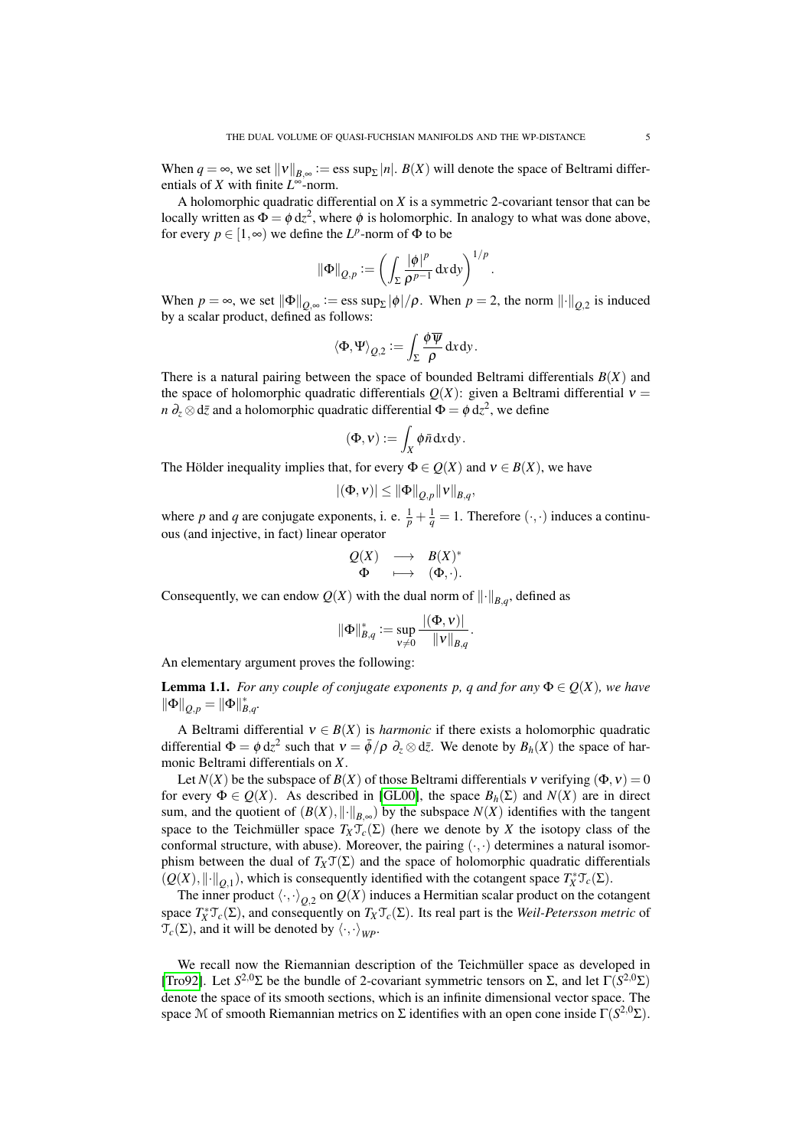When  $q = \infty$ , we set  $||v||_{B,\infty} := \text{ess sup}_{\Sigma} |n|$ .  $B(X)$  will denote the space of Beltrami differentials of *X* with finite *L* <sup>∞</sup>-norm.

A holomorphic quadratic differential on *X* is a symmetric 2-covariant tensor that can be locally written as  $\Phi = \phi \, dz^2$ , where  $\phi$  is holomorphic. In analogy to what was done above, for every  $p \in [1, \infty)$  we define the  $L^p$ -norm of  $\Phi$  to be

$$
\|\Phi\|_{Q,p} := \left(\int_{\Sigma} \frac{|\phi|^p}{\rho^{p-1}} \, \mathrm{d}x \, \mathrm{d}y\right)^{1/p}
$$

.

When  $p = \infty$ , we set  $\|\Phi\|_{Q,\infty} := \text{ess sup}_{\Sigma} |\phi| / \rho$ . When  $p = 2$ , the norm  $\|\cdot\|_{Q,2}$  is induced by a scalar product, defined as follows:

$$
\langle \Phi, \Psi \rangle_{Q,2} := \int_{\Sigma} \frac{\phi \overline{\psi}}{\rho} \, \mathrm{d}x \, \mathrm{d}y.
$$

There is a natural pairing between the space of bounded Beltrami differentials  $B(X)$  and the space of holomorphic quadratic differentials  $Q(X)$ : given a Beltrami differential  $v =$ *n*  $\partial_z \otimes d\bar{z}$  and a holomorphic quadratic differential  $\Phi = \phi \, dz^2$ , we define

$$
(\Phi, v) := \int_X \phi \bar{n} \, dx \, dy.
$$

The Hölder inequality implies that, for every  $\Phi \in Q(X)$  and  $v \in B(X)$ , we have

$$
|(\Phi, v)| \leq ||\Phi||_{Q,p} ||v||_{B,q},
$$

where p and q are conjugate exponents, i. e.  $\frac{1}{p} + \frac{1}{q} = 1$ . Therefore  $(\cdot, \cdot)$  induces a continuous (and injective, in fact) linear operator

$$
\begin{array}{rcl}\n\mathcal{Q}(X) & \longrightarrow & B(X)^* \\
\Phi & \longmapsto & (\Phi, \cdot).\n\end{array}
$$

Consequently, we can endow  $Q(X)$  with the dual norm of  $\lVert \cdot \rVert_{B,q}$ , defined as

$$
\|\Phi\|_{B,q}^*:=\sup_{\mathbf{\nu}\neq 0}\frac{|(\Phi,\mathbf{\nu})|}{\|\mathbf{\nu}\|_{B,q}}
$$

.

An elementary argument proves the following:

<span id="page-4-0"></span>**Lemma 1.1.** *For any couple of conjugate exponents p, q and for any*  $\Phi \in Q(X)$ *, we have*  $\|\Phi\|_{Q,p} = \|\Phi\|_{B,q}^*$ .

A Beltrami differential  $v \in B(X)$  is *harmonic* if there exists a holomorphic quadratic differential  $\Phi = \phi \, dz^2$  such that  $v = \bar{\phi}/\rho \, \partial_z \otimes d\bar{z}$ . We denote by  $B_h(X)$  the space of harmonic Beltrami differentials on *X*.

Let  $N(X)$  be the subspace of  $B(X)$  of those Beltrami differentials  $\nu$  verifying  $(\Phi, \nu) = 0$ for every  $\Phi \in Q(X)$ . As described in [\[GL00\]](#page-20-9), the space  $B_h(\Sigma)$  and  $N(X)$  are in direct sum, and the quotient of  $(B(X), \|\cdot\|_{B,\infty})$  by the subspace  $N(X)$  identifies with the tangent space to the Teichmüller space  $T_X \mathcal{T}_c(\Sigma)$  (here we denote by X the isotopy class of the conformal structure, with abuse). Moreover, the pairing  $(\cdot, \cdot)$  determines a natural isomorphism between the dual of  $T_X \mathcal{T}(\Sigma)$  and the space of holomorphic quadratic differentials  $(Q(X), \|\cdot\|_{Q,1})$ , which is consequently identified with the cotangent space  $T^*_X \mathcal{T}_c(\Sigma)$ .

The inner product  $\langle \cdot, \cdot \rangle_{Q,2}$  on  $Q(X)$  induces a Hermitian scalar product on the cotangent space  $T_X^* \mathcal{T}_c(\Sigma)$ , and consequently on  $T_X \mathcal{T}_c(\Sigma)$ . Its real part is the *Weil-Petersson metric* of  $\mathcal{T}_c(\Sigma)$ , and it will be denoted by  $\langle \cdot, \cdot \rangle_{WP}$ .

We recall now the Riemannian description of the Teichmüller space as developed in [\[Tro92\]](#page-21-7). Let  $S^{2,0}$ Σ be the bundle of 2-covariant symmetric tensors on Σ, and let  $\Gamma(S^{2,0}Σ)$ denote the space of its smooth sections, which is an infinite dimensional vector space. The space M of smooth Riemannian metrics on  $\Sigma$  identifies with an open cone inside  $\Gamma(S^{2,0}\Sigma)$ .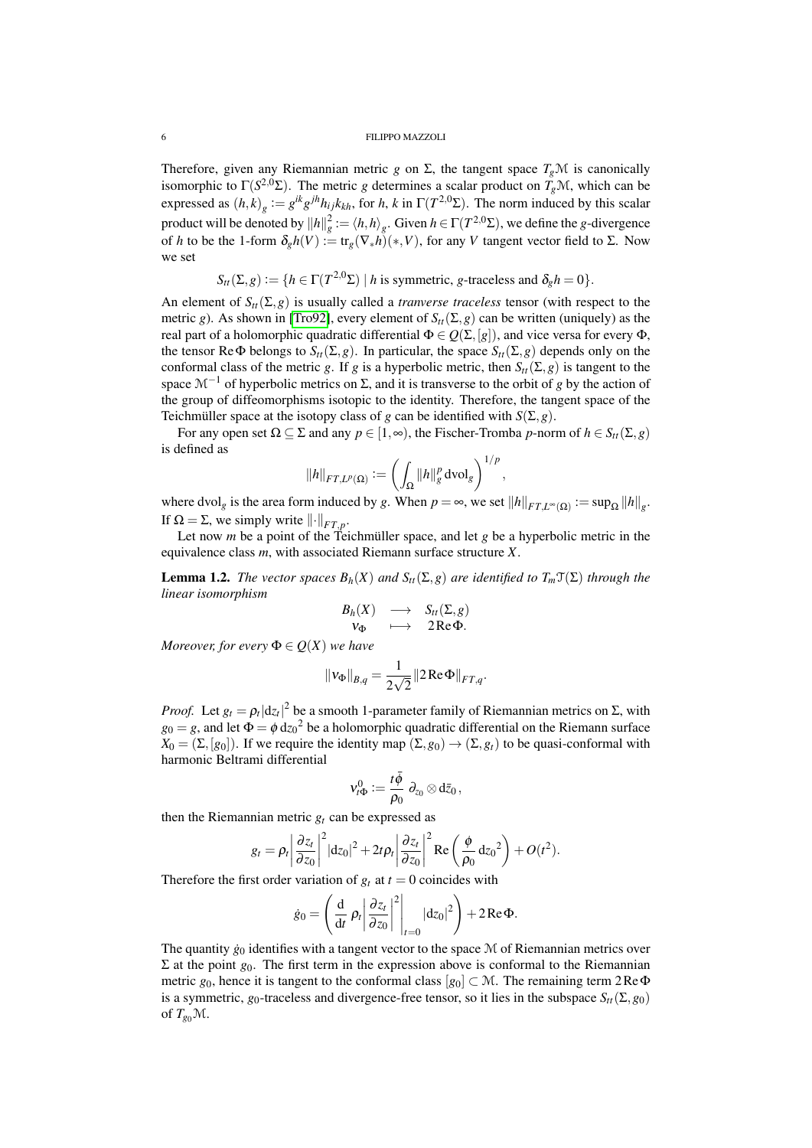Therefore, given any Riemannian metric *g* on  $\Sigma$ , the tangent space  $T_g\mathcal{M}$  is canonically isomorphic to  $\Gamma(S^{2,0} \Sigma)$ . The metric *g* determines a scalar product on  $T_g \mathcal{M}$ , which can be expressed as  $(h, k)$ <sub>g</sub> :=  $g^{ik}g^{jh}h_{ij}k_{kh}$ , for *h*, *k* in  $\Gamma(T^{2,0}\Sigma)$ . The norm induced by this scalar product will be denoted by  $\|h\|_g^2 := \langle h,h\rangle_g.$  Given  $h\in \Gamma(T^{2,0}\Sigma)$ , we define the *g*-divergence of *h* to be the 1-form  $\delta_g h(V) := \text{tr}_g(\nabla_* h)(*, V)$ , for any *V* tangent vector field to Σ. Now we set

 $S_{tt}(\Sigma, g) := \{ h \in \Gamma(T^{2,0}\Sigma) \mid h \text{ is symmetric, } g \text{-traceless and } \delta_g h = 0 \}.$ 

An element of  $S_{tt}(\Sigma, g)$  is usually called a *tranverse traceless* tensor (with respect to the metric *g*). As shown in [\[Tro92\]](#page-21-7), every element of  $S_{tt}(\Sigma, g)$  can be written (uniquely) as the real part of a holomorphic quadratic differential  $\Phi \in \mathcal{Q}(\Sigma, [g])$ , and vice versa for every  $\Phi$ , the tensor ReΦ belongs to  $S_t(\Sigma, g)$ . In particular, the space  $S_t(\Sigma, g)$  depends only on the conformal class of the metric *g*. If *g* is a hyperbolic metric, then  $S_t(\Sigma, g)$  is tangent to the space  $\mathcal{M}^{-1}$  of hyperbolic metrics on  $\Sigma$ , and it is transverse to the orbit of *g* by the action of the group of diffeomorphisms isotopic to the identity. Therefore, the tangent space of the Teichmüller space at the isotopy class of *g* can be identified with  $S(\Sigma, g)$ .

For any open set  $\Omega \subseteq \Sigma$  and any  $p \in [1, \infty)$ , the Fischer-Tromba *p*-norm of  $h \in S_t(\Sigma, g)$ is defined as

$$
||h||_{FT,L^p(\Omega)} := \left(\int_{\Omega} ||h||_g^p \, \mathrm{dvol}_g\right)^{1/p},
$$

where dvol<sub>g</sub> is the area form induced by *g*. When  $p = \infty$ , we set  $||h||_{FT,L^{\infty}(\Omega)} := \sup_{\Omega} ||h||_{g}$ . If  $\Omega = \Sigma$ , we simply write  $\lVert \cdot \rVert_{FT,p}$ .

Let now *m* be a point of the Teichmüller space, and let *g* be a hyperbolic metric in the equivalence class *m*, with associated Riemann surface structure *X*.

<span id="page-5-0"></span>**Lemma 1.2.** *The vector spaces*  $B_h(X)$  *and*  $S_H(\Sigma, g)$  *are identified to*  $T_m(\Sigma)$  *through the linear isomorphism*

$$
\begin{array}{ccc}\nB_h(X) & \longrightarrow & S_{tt}(\Sigma, g) \\
v_{\Phi} & \longmapsto & 2 \operatorname{Re} \Phi.\n\end{array}
$$

*Moreover, for every*  $\Phi \in Q(X)$  *we have* 

$$
||v_{\Phi}||_{B,q} = \frac{1}{2\sqrt{2}} ||2 \operatorname{Re} \Phi||_{FT,q}.
$$

*Proof.* Let  $g_t = \rho_t |dz_t|^2$  be a smooth 1-parameter family of Riemannian metrics on Σ, with  $g_0 = g$ , and let  $\Phi = \phi \, d{z_0}^2$  be a holomorphic quadratic differential on the Riemann surface  $X_0 = (\Sigma, [g_0])$ . If we require the identity map  $(\Sigma, g_0) \to (\Sigma, g_t)$  to be quasi-conformal with harmonic Beltrami differential

$$
\mathsf{v}_{t\Phi}^0:=\frac{t\bar\phi}{\rho_0}\;\partial_{z_0}\mathop{\otimes}\mathrm{d}\bar{z}_0\;\! ,
$$

then the Riemannian metric  $g_t$  can be expressed as

$$
g_t = \rho_t \left| \frac{\partial z_t}{\partial z_0} \right|^2 |dz_0|^2 + 2t \rho_t \left| \frac{\partial z_t}{\partial z_0} \right|^2 \text{Re} \left( \frac{\phi}{\rho_0} dz_0^2 \right) + O(t^2).
$$

Therefore the first order variation of  $g_t$  at  $t = 0$  coincides with

$$
\dot{g}_0 = \left(\frac{\mathrm{d}}{\mathrm{d}t} \rho_t \left| \frac{\partial z_t}{\partial z_0} \right|^2 \Big|_{t=0} \left| \mathrm{d} z_0 \right|^2 \right) + 2 \operatorname{Re} \Phi.
$$

The quantity  $\dot{g}_0$  identifies with a tangent vector to the space M of Riemannian metrics over  $Σ$  at the point *g*<sub>0</sub>. The first term in the expression above is conformal to the Riemannian metric  $g_0$ , hence it is tangent to the conformal class  $[g_0] \subset \mathcal{M}$ . The remaining term 2Re $\Phi$ is a symmetric,  $g_0$ -traceless and divergence-free tensor, so it lies in the subspace  $S_t$ ( $\Sigma$ ,  $g_0$ ) of  $T_{g_0}$ M.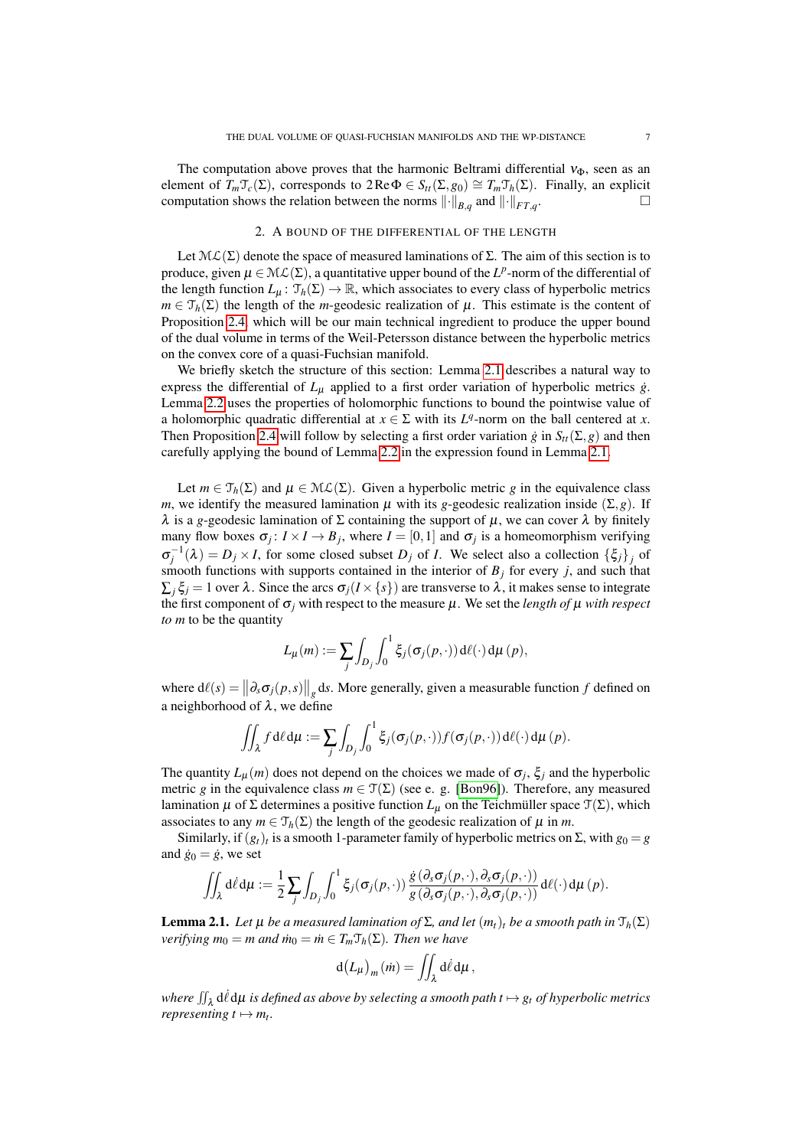The computation above proves that the harmonic Beltrami differential  $v_{\Phi}$ , seen as an element of  $T_m \mathcal{T}_c(\Sigma)$ , corresponds to  $2 \text{Re } \Phi \in S_{tt}(\Sigma, g_0) \cong T_m \mathcal{T}_h(\Sigma)$ . Finally, an explicit computation shows the relation between the norms  $\lVert \cdot \rVert_{B,q}$  and  $\lVert \cdot \rVert_{FT,q}$ .

# 2. A BOUND OF THE DIFFERENTIAL OF THE LENGTH

<span id="page-6-0"></span>Let  $\mathcal{ML}(\Sigma)$  denote the space of measured laminations of  $\Sigma$ . The aim of this section is to produce, given  $\mu \in M(L(\Sigma))$ , a quantitative upper bound of the *L*<sup>*p*</sup>-norm of the differential of the length function  $L_{\mu}$ :  $\mathcal{T}_h(\Sigma) \to \mathbb{R}$ , which associates to every class of hyperbolic metrics  $m \in \mathcal{T}_h(\Sigma)$  the length of the *m*-geodesic realization of  $\mu$ . This estimate is the content of Proposition [2.4,](#page-9-0) which will be our main technical ingredient to produce the upper bound of the dual volume in terms of the Weil-Petersson distance between the hyperbolic metrics on the convex core of a quasi-Fuchsian manifold.

We briefly sketch the structure of this section: Lemma [2.1](#page-6-1) describes a natural way to express the differential of  $L_{\mu}$  applied to a first order variation of hyperbolic metrics  $\dot{g}$ . Lemma [2.2](#page-7-0) uses the properties of holomorphic functions to bound the pointwise value of a holomorphic quadratic differential at  $x \in \Sigma$  with its  $L^q$ -norm on the ball centered at *x*. Then Proposition [2.4](#page-9-0) will follow by selecting a first order variation  $\dot{g}$  in  $S_t(\Sigma, g)$  and then carefully applying the bound of Lemma [2.2](#page-7-0) in the expression found in Lemma [2.1.](#page-6-1)

Let  $m \in \mathcal{T}_h(\Sigma)$  and  $\mu \in \mathcal{ML}(\Sigma)$ . Given a hyperbolic metric *g* in the equivalence class *m*, we identify the measured lamination  $\mu$  with its *g*-geodesic realization inside (Σ, *g*). If  $\lambda$  is a *g*-geodesic lamination of  $\Sigma$  containing the support of  $\mu$ , we can cover  $\lambda$  by finitely many flow boxes  $\sigma_j: I \times I \to B_j$ , where  $I = [0,1]$  and  $\sigma_j$  is a homeomorphism verifying  $\sigma_j^{-1}(\lambda) = D_j \times I$ , for some closed subset  $D_j$  of *I*. We select also a collection  $\{\xi_j\}_j$  of smooth functions with supports contained in the interior of  $B_j$  for every *j*, and such that  $\sum_i \xi_i = 1$  over  $\lambda$ . Since the arcs  $\sigma_i(I \times \{s\})$  are transverse to  $\lambda$ , it makes sense to integrate the first component of  $\sigma_i$  with respect to the measure  $\mu$ . We set the *length of*  $\mu$  *with respect to m* to be the quantity

$$
L_{\mu}(m) := \sum_{j} \int_{D_j} \int_0^1 \xi_j(\sigma_j(p,\cdot)) d\ell(\cdot) d\mu(p),
$$

where  $d\ell(s) = ||\partial_s \sigma_j(p, s)||_g ds$ . More generally, given a measurable function *f* defined on a neighborhood of  $\lambda$ , we define

$$
\iint_{\lambda} f \, d\ell \, d\mu := \sum_{j} \int_{D_j} \int_0^1 \xi_j(\sigma_j(p,\cdot)) f(\sigma_j(p,\cdot)) \, d\ell(\cdot) \, d\mu(p).
$$

The quantity  $L_{\mu}(m)$  does not depend on the choices we made of  $\sigma_j$ ,  $\xi_j$  and the hyperbolic metric *g* in the equivalence class  $m \in \mathcal{T}(\Sigma)$  (see e. g. [\[Bon96\]](#page-20-10)). Therefore, any measured lamination  $\mu$  of  $\Sigma$  determines a positive function  $L_{\mu}$  on the Teichmüller space  $\mathcal{T}(\Sigma)$ , which associates to any  $m \in \mathcal{T}_h(\Sigma)$  the length of the geodesic realization of  $\mu$  in *m*.

Similarly, if  $(g_t)_t$  is a smooth 1-parameter family of hyperbolic metrics on  $\Sigma$ , with  $g_0 = g$ and  $\dot{g}_0 = \dot{g}$ , we set

$$
\iint_{\lambda} d\ell d\mu := \frac{1}{2} \sum_{j} \int_{D_j} \int_0^1 \xi_j(\sigma_j(p,\cdot)) \frac{\dot{g}(\partial_s \sigma_j(p,\cdot), \partial_s \sigma_j(p,\cdot))}{g(\partial_s \sigma_j(p,\cdot), \partial_s \sigma_j(p,\cdot))} d\ell(\cdot) d\mu(p).
$$

<span id="page-6-1"></span>**Lemma 2.1.** *Let* μ *be a measured lamination of*  $\Sigma$ *, and let*  $(m_t)_t$  *be a smooth path in*  $\mathcal{T}_h(\Sigma)$ *verifying*  $m_0 = m$  *and*  $\dot{m}_0 = \dot{m} \in T_m \mathcal{T}_h(\Sigma)$ *. Then we have* 

$$
d(L_{\mu})_{m}(\dot{m}) = \iint_{\lambda} d\ell d\mu,
$$

where  $\iint_{\lambda} d\ell d\mu$  is defined as above by selecting a smooth path  $t \mapsto g_t$  of hyperbolic metrics *representing*  $t \mapsto m_t$ .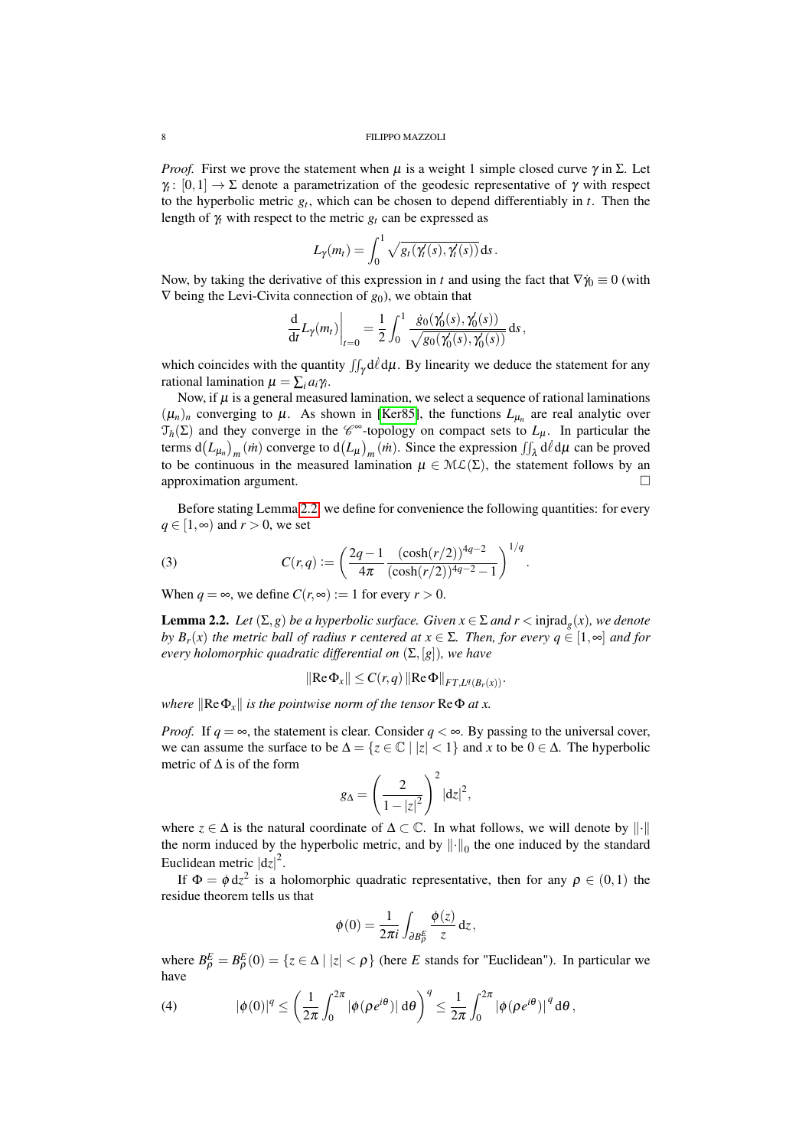*Proof.* First we prove the statement when  $\mu$  is a weight 1 simple closed curve  $\gamma$  in  $\Sigma$ . Let  $\gamma : [0,1] \to \Sigma$  denote a parametrization of the geodesic representative of  $\gamma$  with respect to the hyperbolic metric *g<sup>t</sup>* , which can be chosen to depend differentiably in *t*. Then the length of  $\gamma$ <sup>*t*</sup> with respect to the metric  $g_t$  can be expressed as

$$
L_{\gamma}(m_t) = \int_0^1 \sqrt{g_t(\gamma_t'(s), \gamma_t'(s))} \, \mathrm{d}s.
$$

Now, by taking the derivative of this expression in *t* and using the fact that  $\nabla \hat{\eta} \equiv 0$  (with ∇ being the Levi-Civita connection of *g*0), we obtain that

$$
\frac{d}{dt}L_{\gamma}(m_t)\Big|_{t=0} = \frac{1}{2}\int_0^1 \frac{\dot{g}_0(\gamma'_0(s), \gamma'_0(s))}{\sqrt{g_0(\gamma'_0(s), \gamma'_0(s))}} ds,
$$

which coincides with the quantity  $\iint_{\gamma} d\ell d\mu$ . By linearity we deduce the statement for any rational lamination  $\mu = \sum_i a_i \gamma_i$ .

Now, if  $\mu$  is a general measured lamination, we select a sequence of rational laminations  $(\mu_n)_n$  converging to  $\mu$ . As shown in [\[Ker85\]](#page-20-11), the functions  $L_{\mu_n}$  are real analytic over  $\mathcal{T}_h(\Sigma)$  and they converge in the  $\mathscr{C}^{\infty}$ -topology on compact sets to  $L_{\mu}$ . In particular the terms  $d(L_{\mu_n})_m(m)$  converge to  $d(L_\mu)_m(m)$ . Since the expression  $\iint_{\lambda} d\ell d\mu$  can be proved to be continuous in the measured lamination  $\mu \in M\mathcal{L}(\Sigma)$ , the statement follows by an approximation argument.

Before stating Lemma [2.2,](#page-7-0) we define for convenience the following quantities: for every *q* ∈ [1,∞) and *r* > 0, we set

<span id="page-7-2"></span>(3) 
$$
C(r,q) := \left(\frac{2q-1}{4\pi} \frac{(\cosh(r/2))^{4q-2}}{(\cosh(r/2))^{4q-2}-1}\right)^{1/q}.
$$

When  $q = \infty$ , we define  $C(r, \infty) := 1$  for every  $r > 0$ .

<span id="page-7-0"></span>**Lemma 2.2.** Let  $(\Sigma, g)$  be a hyperbolic surface. Given  $x \in \Sigma$  and  $r <$  injrad<sub>g</sub> $(x)$ , we denote *by B<sub>r</sub>*(*x*) *the metric ball of radius r centered at*  $x \in \Sigma$ *. Then, for every*  $q \in [1, \infty]$  *<i>and for every holomorphic quadratic differential on*  $(\Sigma, [g])$ *, we have* 

$$
\|\text{Re}\,\Phi_x\|\leq C(r,q)\,\|\text{Re}\,\Phi\|_{FT,L^q(B_r(x))}.
$$

*where*  $\|\text{Re}\Phi_x\|$  *is the pointwise norm of the tensor*  $\text{Re}\Phi$  *at x.* 

*Proof.* If  $q = \infty$ , the statement is clear. Consider  $q < \infty$ . By passing to the universal cover, we can assume the surface to be  $\Delta = \{z \in \mathbb{C} \mid |z| < 1\}$  and *x* to be  $0 \in \Delta$ . The hyperbolic metric of  $\Delta$  is of the form

$$
g_{\Delta} = \left(\frac{2}{1-|z|^2}\right)^2 |dz|^2,
$$

where  $z \in \Delta$  is the natural coordinate of  $\Delta \subset \mathbb{C}$ . In what follows, we will denote by  $\|\cdot\|$ the norm induced by the hyperbolic metric, and by  $\|\cdot\|_0$  the one induced by the standard Euclidean metric  $|dz|^2$ .

If  $\Phi = \phi \, dz^2$  is a holomorphic quadratic representative, then for any  $\rho \in (0,1)$  the residue theorem tells us that

$$
\phi(0) = \frac{1}{2\pi i} \int_{\partial B_{\rho}^{E}} \frac{\phi(z)}{z} dz,
$$

where  $B_{\rho}^{E} = B_{\rho}^{E}(0) = \{z \in \Delta \mid |z| < \rho\}$  (here *E* stands for "Euclidean"). In particular we have

<span id="page-7-1"></span>(4) 
$$
|\phi(0)|^q \leq \left(\frac{1}{2\pi}\int_0^{2\pi} |\phi(\rho e^{i\theta})| d\theta\right)^q \leq \frac{1}{2\pi}\int_0^{2\pi} |\phi(\rho e^{i\theta})|^{q} d\theta,
$$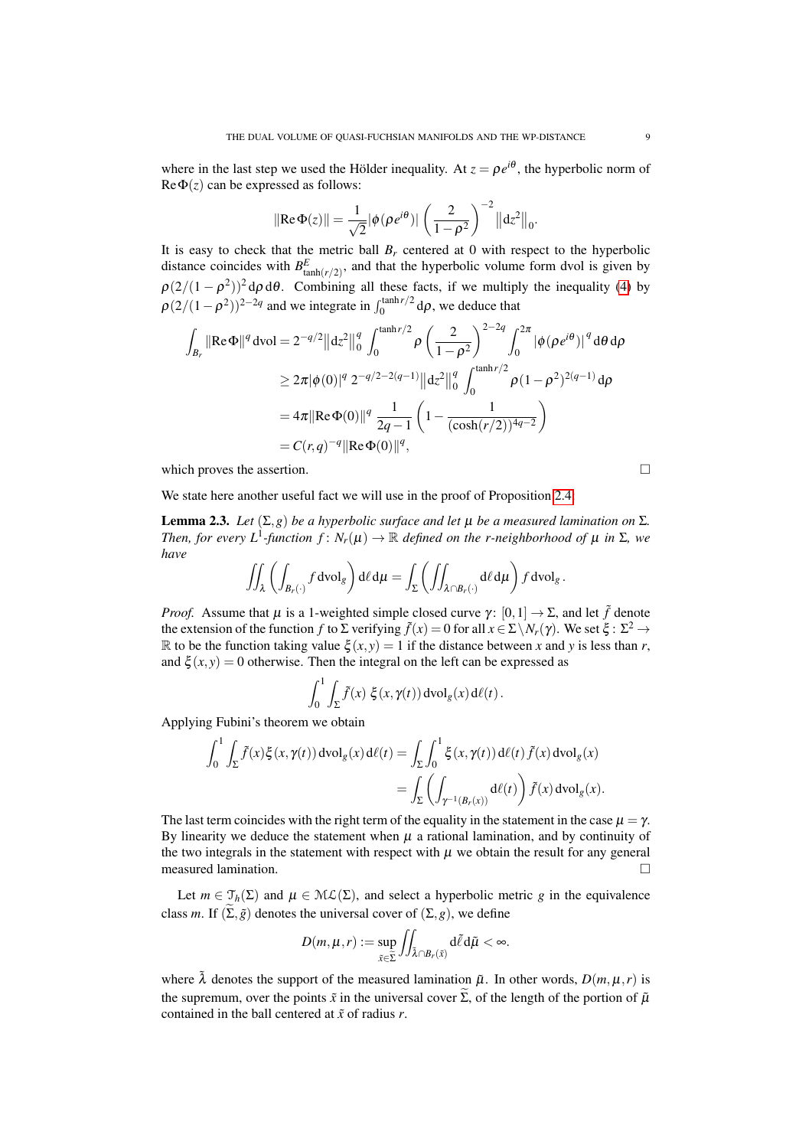where in the last step we used the Hölder inequality. At  $z = \rho e^{i\theta}$ , the hyperbolic norm of  $\text{Re}\Phi(z)$  can be expressed as follows:

$$
\|\text{Re}\,\Phi(z)\| = \frac{1}{\sqrt{2}}|\phi(\rho e^{i\theta})|\left(\frac{2}{1-\rho^2}\right)^{-2}\|dz^2\|_0.
$$

It is easy to check that the metric ball  $B_r$  centered at 0 with respect to the hyperbolic distance coincides with  $B_{\tanh(r/2)}^E$ , and that the hyperbolic volume form dvol is given by  $\rho(2/(1-\rho^2))^2$  d $\rho$  d $\theta$ . Combining all these facts, if we multiply the inequality [\(4\)](#page-7-1) by  $\rho(2/(1-\rho^2))^{2-2q}$  and we integrate in  $\int_0^{\tanh r/2} d\rho$ , we deduce that

$$
\int_{B_r} \|\text{Re}\,\Phi\|^q \, \text{dvol} = 2^{-q/2} \left\| \frac{dz^2}{\theta} \right\|_0^q \int_0^{\tanh r/2} \rho \left( \frac{2}{1-\rho^2} \right)^{2-2q} \int_0^{2\pi} \left| \phi(\rho e^{i\theta}) \right|^q \text{d}\theta \, \text{d}\rho
$$
\n
$$
\geq 2\pi |\phi(0)|^q \, 2^{-q/2-2(q-1)} \left\| \frac{dz^2}{\theta} \right\|_0^q \int_0^{\tanh r/2} \rho (1-\rho^2)^{2(q-1)} \, \text{d}\rho
$$
\n
$$
= 4\pi \|\text{Re}\,\Phi(0)\|^q \, \frac{1}{2q-1} \left( 1 - \frac{1}{(\cosh(r/2))^{4q-2}} \right)
$$
\n
$$
= C(r,q)^{-q} \|\text{Re}\,\Phi(0)\|^q,
$$

which proves the assertion.

$$
\Box
$$

We state here another useful fact we will use in the proof of Proposition [2.4:](#page-9-0)

<span id="page-8-0"></span>**Lemma 2.3.** *Let*  $(Σ, g)$  *be a hyperbolic surface and let*  $μ$  *be a measured lamination on*  $Σ$ *. Then, for every L*<sup>1</sup>-function  $f: N_r(\mu) \to \mathbb{R}$  *defined on the r-neighborhood of*  $\mu$  *in*  $\Sigma$ *, we have*

$$
\iint_{\lambda} \left( \int_{B_r(\cdot)} f \, \mathrm{d} \mathrm{vol}_g \right) \mathrm{d} \ell \, \mathrm{d} \mu = \int_{\Sigma} \left( \iint_{\lambda \cap B_r(\cdot)} \mathrm{d} \ell \, \mathrm{d} \mu \right) f \, \mathrm{d} \mathrm{vol}_g.
$$

*Proof.* Assume that  $\mu$  is a 1-weighted simple closed curve  $\gamma$ :  $[0,1] \rightarrow \Sigma$ , and let  $\tilde{f}$  denote the extension of the function *f* to  $\Sigma$  verifying  $\tilde{f}(x) = 0$  for all  $x \in \Sigma \setminus N_r(\gamma)$ . We set  $\xi : \Sigma^2 \to$ R to be the function taking value  $\xi(x, y) = 1$  if the distance between x and y is less than r, and  $\xi(x, y) = 0$  otherwise. Then the integral on the left can be expressed as

$$
\int_0^1 \int_{\Sigma} \tilde{f}(x) \xi(x, \gamma(t)) \, \mathrm{dvol}_g(x) \, \mathrm{d}\ell(t).
$$

Applying Fubini's theorem we obtain

$$
\int_0^1 \int_{\Sigma} \tilde{f}(x) \xi(x, \gamma(t)) dvol_g(x) d\ell(t) = \int_{\Sigma} \int_0^1 \xi(x, \gamma(t)) d\ell(t) \tilde{f}(x) dvol_g(x)
$$
  
= 
$$
\int_{\Sigma} \left( \int_{\gamma^{-1}(B_r(x))} d\ell(t) \right) \tilde{f}(x) dvol_g(x).
$$

The last term coincides with the right term of the equality in the statement in the case  $\mu = \gamma$ . By linearity we deduce the statement when  $\mu$  a rational lamination, and by continuity of the two integrals in the statement with respect with  $\mu$  we obtain the result for any general measured lamination.

Let  $m \in \mathcal{T}_h(\Sigma)$  and  $\mu \in \mathcal{ML}(\Sigma)$ , and select a hyperbolic metric *g* in the equivalence class *m*. If  $(\Sigma, \tilde{g})$  denotes the universal cover of  $(\Sigma, g)$ , we define

$$
D(m,\mu,r):=\sup_{\tilde{x}\in\widetilde{\Sigma}}\iint_{\tilde{\lambda}\cap B_r(\tilde{x})}d\tilde{\ell}d\tilde{\mu}<\infty.
$$

where  $\lambda$  denotes the support of the measured lamination  $\tilde{\mu}$ . In other words,  $D(m, \mu, r)$  is the supremum, over the points  $\tilde{x}$  in the universal cover  $\tilde{\Sigma}$ , of the length of the portion of  $\tilde{\mu}$ contained in the ball centered at ˜*x* of radius *r*.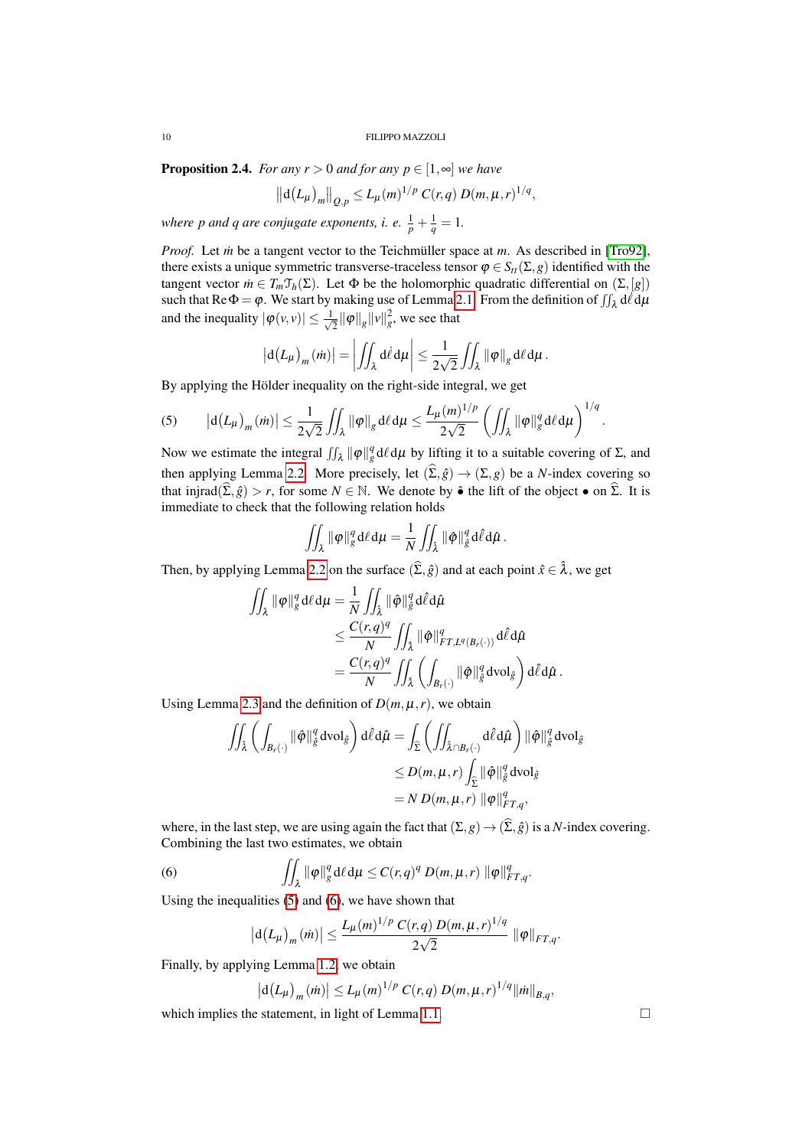<span id="page-9-0"></span>**Proposition 2.4.** *For any r* > 0 *and for any*  $p \in [1, \infty]$  *we have* 

$$
\left\|d(L_{\mu})_{m}\right\|_{Q,p} \leq L_{\mu}(m)^{1/p} C(r,q) D(m,\mu,r)^{1/q},
$$

*where p and q are conjugate exponents, i. e.*  $\frac{1}{p} + \frac{1}{q} = 1$ *.* 

*Proof.* Let *in* be a tangent vector to the Teichmüller space at *m*. As described in [\[Tro92\]](#page-21-7), there exists a unique symmetric transverse-traceless tensor  $\varphi \in S_{tt}(\Sigma, g)$  identified with the tangent vector  $\dot{m} \in T_m \mathcal{T}_h(\Sigma)$ . Let  $\Phi$  be the holomorphic quadratic differential on  $(\Sigma, [g])$ such that  $\text{Re}\Phi = \varphi$ . We start by making use of Lemma [2.1.](#page-6-1) From the definition of  $\iint_{\lambda} d\ell d\mu$ and the inequality  $|\varphi(v,v)| \leq \frac{1}{\sqrt{2}}$  $\frac{1}{2} \|\varphi\|_g \|\nu\|_g^2$ , we see that

$$
\left|\mathrm{d}(L_{\mu})_{m}(\dot{m})\right|=\left|\iint_{\lambda}\mathrm{d}\dot{\ell}\,\mathrm{d}\mu\right|\leq\frac{1}{2\sqrt{2}}\iint_{\lambda}\left\|\varphi\right\|_{g}\mathrm{d}\ell\,\mathrm{d}\mu.
$$

By applying the Hölder inequality on the right-side integral, we get

<span id="page-9-1"></span>(5) 
$$
\left| d(L_{\mu})_{m}(\dot{m}) \right| \leq \frac{1}{2\sqrt{2}} \iint_{\lambda} \|\varphi\|_{g} d\ell d\mu \leq \frac{L_{\mu}(m)^{1/p}}{2\sqrt{2}} \left( \iint_{\lambda} \|\varphi\|_{g}^{q} d\ell d\mu \right)^{1/q}.
$$

Now we estimate the integral  $\iint_{\lambda} ||\varphi||_g^q d\ell d\mu$  by lifting it to a suitable covering of Σ, and then applying Lemma [2.2.](#page-7-0) More precisely, let  $(\widehat{\Sigma}, \widehat{g}) \to (\Sigma, g)$  be a *N*-index covering so that injrad $(\widehat{\Sigma}, \widehat{g}) > r$ , for some  $N \in \mathbb{N}$ . We denote by  $\hat{\bullet}$  the lift of the object  $\bullet$  on  $\widehat{\Sigma}$ . It is immediate to check that the following relation holds

$$
\iint_{\lambda} \|\varphi\|_{g}^{q} d\ell d\mu = \frac{1}{N} \iint_{\hat{\lambda}} \|\hat{\varphi}\|_{\hat{g}}^{q} d\hat{\ell} d\hat{\mu}.
$$

Then, by applying Lemma [2.2](#page-7-0) on the surface  $(\widehat{\Sigma}, \widehat{g})$  and at each point  $\widehat{x} \in \widehat{\lambda}$ , we get

$$
\begin{aligned}\n\iint_{\lambda} \|\varphi\|_{g}^{q} d\ell d\mu &= \frac{1}{N} \iint_{\hat{\lambda}} \|\hat{\varphi}\|_{\hat{g}}^{q} d\hat{\ell} d\hat{\mu} \\
&\leq \frac{C(r, q)^{q}}{N} \iint_{\hat{\lambda}} \|\hat{\varphi}\|_{FT, L^{q}(B_{r}(\cdot))}^{q} d\hat{\ell} d\hat{\mu} \\
&= \frac{C(r, q)^{q}}{N} \iint_{\hat{\lambda}} \left( \int_{B_{r}(\cdot)} \|\hat{\varphi}\|_{\hat{g}}^{q} d\mathrm{vol}_{\hat{g}} \right) d\hat{\ell} d\hat{\mu} .\n\end{aligned}
$$

Using Lemma [2.3](#page-8-0) and the definition of  $D(m, \mu, r)$ , we obtain

$$
\iint_{\hat{\lambda}} \left( \int_{B_r(\cdot)} \|\hat{\varphi}\|_{\hat{g}}^q \mathrm{d} \mathrm{vol}_{\hat{g}} \right) \mathrm{d} \hat{\ell} \mathrm{d} \hat{\mu} = \int_{\hat{\Sigma}} \left( \iint_{\hat{\lambda} \cap B_r(\cdot)} \mathrm{d} \hat{\ell} \mathrm{d} \hat{\mu} \right) \|\hat{\varphi}\|_{\hat{g}}^q \mathrm{d} \mathrm{vol}_{\hat{g}}
$$
  
\n
$$
\leq D(m, \mu, r) \int_{\hat{\Sigma}} \|\hat{\varphi}\|_{\hat{g}}^q \mathrm{d} \mathrm{vol}_{\hat{g}}
$$
  
\n
$$
= N D(m, \mu, r) \|\varphi\|_{FT,q}^q,
$$

where, in the last step, we are using again the fact that  $(\Sigma, g) \to (\widehat{\Sigma}, \widehat{g})$  is a *N*-index covering. Combining the last two estimates, we obtain

(6) 
$$
\iint_{\lambda} \|\varphi\|_{g}^{q} d\ell d\mu \leq C(r,q)^{q} D(m,\mu,r) \|\varphi\|_{FT,q}^{q}.
$$

Using the inequalities [\(5\)](#page-9-1) and [\(6\)](#page-9-2), we have shown that

<span id="page-9-2"></span>
$$
|d(L_{\mu})_{m}(m)| \leq \frac{L_{\mu}(m)^{1/p} C(r,q) D(m,\mu,r)^{1/q}}{2\sqrt{2}} \|\varphi\|_{FT,q}.
$$

Finally, by applying Lemma [1.2,](#page-5-0) we obtain

$$
\left| d(L_{\mu})_{m}(\dot{m}) \right| \leq L_{\mu}(m)^{1/p} C(r,q) D(m,\mu,r)^{1/q} ||\dot{m}||_{B,q},
$$

which implies the statement, in light of Lemma [1.1.](#page-4-0)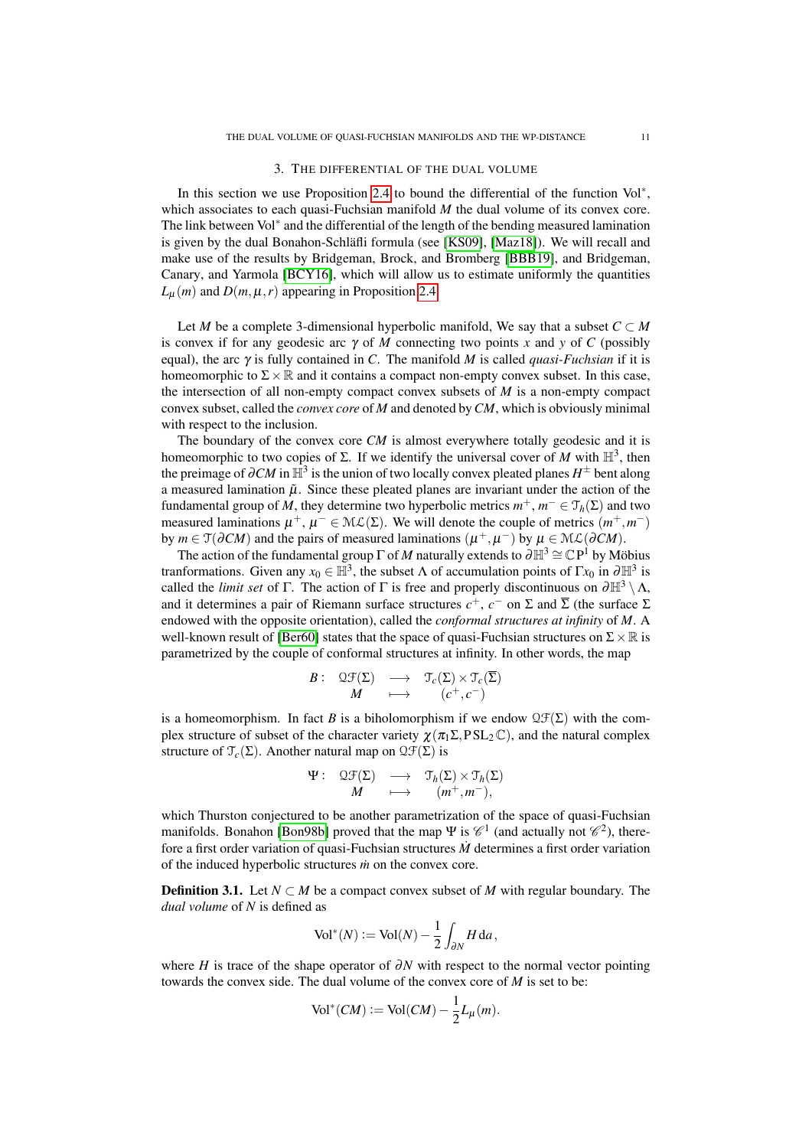#### 3. THE DIFFERENTIAL OF THE DUAL VOLUME

<span id="page-10-0"></span>In this section we use Proposition [2.4](#page-9-0) to bound the differential of the function Vol<sup>∗</sup> , which associates to each quasi-Fuchsian manifold *M* the dual volume of its convex core. The link between Vol<sup>∗</sup> and the differential of the length of the bending measured lamination is given by the dual Bonahon-Schläfli formula (see [\[KS09\]](#page-20-2), [\[Maz18\]](#page-21-3)). We will recall and make use of the results by Bridgeman, Brock, and Bromberg [\[BBB19\]](#page-20-3), and Bridgeman, Canary, and Yarmola [\[BCY16\]](#page-20-6), which will allow us to estimate uniformly the quantities  $L_u(m)$  and  $D(m, \mu, r)$  appearing in Proposition [2.4.](#page-9-0)

Let *M* be a complete 3-dimensional hyperbolic manifold, We say that a subset  $C \subset M$ is convex if for any geodesic arc  $\gamma$  of *M* connecting two points *x* and *y* of *C* (possibly equal), the arc  $\gamma$  is fully contained in *C*. The manifold *M* is called *quasi-Fuchsian* if it is homeomorphic to  $\Sigma \times \mathbb{R}$  and it contains a compact non-empty convex subset. In this case, the intersection of all non-empty compact convex subsets of *M* is a non-empty compact convex subset, called the *convex core* of *M* and denoted by*CM*, which is obviously minimal with respect to the inclusion.

The boundary of the convex core *CM* is almost everywhere totally geodesic and it is homeomorphic to two copies of  $\Sigma$ . If we identify the universal cover of *M* with  $\mathbb{H}^3$ , then the preimage of  $\partial CM$  in  $\mathbb{H}^3$  is the union of two locally convex pleated planes  $H^\pm$  bent along a measured lamination  $\tilde{\mu}$ . Since these pleated planes are invariant under the action of the fundamental group of *M*, they determine two hyperbolic metrics  $m^+$ ,  $m^- \in \mathfrak{T}_h(\Sigma)$  and two measured laminations  $\mu^+, \mu^- \in M\mathcal{L}(\Sigma)$ . We will denote the couple of metrics  $(m^+, m^-)$ by  $m \in \mathfrak{T}(\partial CM)$  and the pairs of measured laminations  $(\mu^+, \mu^-)$  by  $\mu \in \mathcal{ML}(\partial CM)$ .

The action of the fundamental group  $\Gamma$  of *M* naturally extends to  $\partial \mathbb{H}^3 \cong \mathbb{C}P^1$  by Möbius tranformations. Given any  $x_0 \in \mathbb{H}^3$ , the subset  $\Lambda$  of accumulation points of  $\Gamma x_0$  in  $\partial \mathbb{H}^3$  is called the *limit set* of Γ. The action of Γ is free and properly discontinuous on  $\partial \mathbb{H}^3 \setminus \Lambda$ , and it determines a pair of Riemann surface structures  $c^+$ ,  $c^-$  on  $\Sigma$  and  $\overline{\Sigma}$  (the surface  $\Sigma$ endowed with the opposite orientation), called the *conformal structures at infinity* of *M*. A well-known result of [\[Ber60\]](#page-20-1) states that the space of quasi-Fuchsian structures on  $\Sigma \times \mathbb{R}$  is parametrized by the couple of conformal structures at infinity. In other words, the map

$$
\begin{array}{ccccc}B:&\mathfrak{QF}(\Sigma)&\longrightarrow &\mathfrak{T}_c(\Sigma)\times\mathfrak{T}_c(\overline{\Sigma})\\ &M&\longmapsto &\left(c^+,c^-\right)\end{array}
$$

is a homeomorphism. In fact *B* is a biholomorphism if we endow  $\mathcal{QF}(\Sigma)$  with the complex structure of subset of the character variety  $\chi(\pi_1 \Sigma, PSL_2 \mathbb{C})$ , and the natural complex structure of  $\mathcal{T}_c(\Sigma)$ . Another natural map on  $\mathfrak{QF}(\Sigma)$  is

$$
\begin{array}{rccc}\n\Psi : & \mathfrak{Q}\mathfrak{F}(\Sigma) & \longrightarrow & \mathfrak{T}_h(\Sigma) \times \mathfrak{T}_h(\Sigma) \\
M & \longmapsto & (m^+, m^-),\n\end{array}
$$

which Thurston conjectured to be another parametrization of the space of quasi-Fuchsian manifolds. Bonahon [\[Bon98b\]](#page-20-12) proved that the map  $\Psi$  is  $\mathscr{C}^1$  (and actually not  $\mathscr{C}^2$ ), therefore a first order variation of quasi-Fuchsian structures *M*˙ determines a first order variation of the induced hyperbolic structures *in* on the convex core.

**Definition 3.1.** Let  $N \subset M$  be a compact convex subset of M with regular boundary. The *dual volume* of *N* is defined as

$$
\text{Vol}^*(N) := \text{Vol}(N) - \frac{1}{2} \int_{\partial N} H \, \mathrm{d}a,
$$

where *H* is trace of the shape operator of ∂*N* with respect to the normal vector pointing towards the convex side. The dual volume of the convex core of *M* is set to be:

$$
\text{Vol}^*(CM) := \text{Vol}(CM) - \frac{1}{2}L_\mu(m).
$$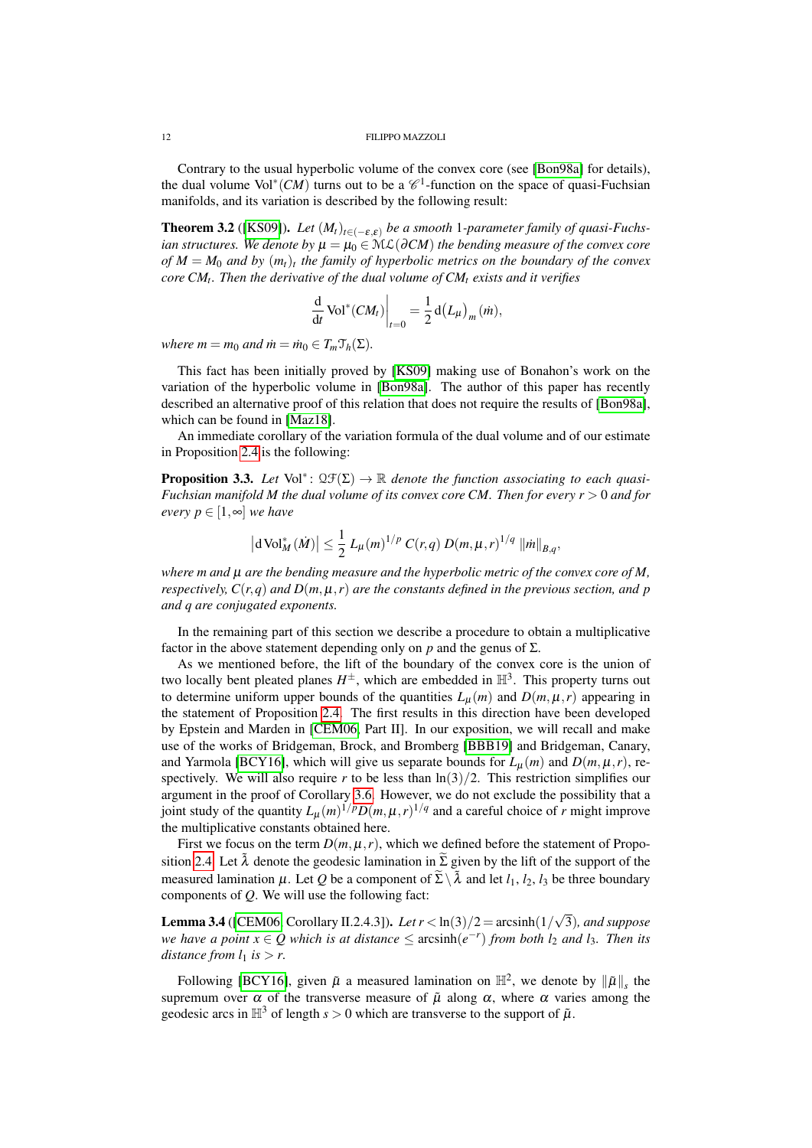Contrary to the usual hyperbolic volume of the convex core (see [\[Bon98a\]](#page-20-13) for details), the dual volume  $Vol^*(CM)$  turns out to be a  $\mathcal{C}^1$ -function on the space of quasi-Fuchsian manifolds, and its variation is described by the following result:

**Theorem 3.2** ([\[KS09\]](#page-20-2)). *Let*  $(M_t)_{t \in (-\varepsilon,\varepsilon)}$  *be a smooth* 1*-parameter family of quasi-Fuchsian structures. We denote by*  $\mu = \mu_0 \in \mathcal{ML}(\partial CM)$  *the bending measure of the convex core of M* = *M*<sup>0</sup> *and by* (*mt*)*<sup>t</sup> the family of hyperbolic metrics on the boundary of the convex core CM<sup>t</sup> . Then the derivative of the dual volume of CM<sup>t</sup> exists and it verifies*

$$
\frac{\mathrm{d}}{\mathrm{d}t} \operatorname{Vol}^*(CM_t)\bigg|_{t=0} = \frac{1}{2} \operatorname{d}(L_\mu)_m(m),
$$

*where*  $m = m_0$  *and*  $\dot{m} = \dot{m}_0 \in T_m \mathcal{T}_h(\Sigma)$ *.* 

This fact has been initially proved by [\[KS09\]](#page-20-2) making use of Bonahon's work on the variation of the hyperbolic volume in [\[Bon98a\]](#page-20-13). The author of this paper has recently described an alternative proof of this relation that does not require the results of [\[Bon98a\]](#page-20-13), which can be found in [\[Maz18\]](#page-21-3).

An immediate corollary of the variation formula of the dual volume and of our estimate in Proposition [2.4](#page-9-0) is the following:

<span id="page-11-1"></span>**Proposition 3.3.** Let  $Vol^*$ :  $\mathfrak{LF}(\Sigma) \to \mathbb{R}$  denote the function associating to each quasi-*Fuchsian manifold M the dual volume of its convex core CM. Then for every r* > 0 *and for every*  $p \in [1, ∞]$  *we have* 

$$
\left|\mathrm{d}\, \mathrm{Vol}_{M}^*(\dot{M})\right| \leq \frac{1}{2} \, L_{\mu}(m)^{1/p} \, C(r,q) \, D(m,\mu,r)^{1/q} \, \left|\left|\dot{m}\right|\right|_{B,q},
$$

*where m and* µ *are the bending measure and the hyperbolic metric of the convex core of M, respectively,*  $C(r, q)$  *and*  $D(m, \mu, r)$  *are the constants defined in the previous section, and p and q are conjugated exponents.*

In the remaining part of this section we describe a procedure to obtain a multiplicative factor in the above statement depending only on  $p$  and the genus of  $\Sigma$ .

As we mentioned before, the lift of the boundary of the convex core is the union of two locally bent pleated planes  $H^{\pm}$ , which are embedded in  $\mathbb{H}^{3}$ . This property turns out to determine uniform upper bounds of the quantities  $L<sub>\mu</sub>(m)$  and  $D(m, \mu, r)$  appearing in the statement of Proposition [2.4.](#page-9-0) The first results in this direction have been developed by Epstein and Marden in [\[CEM06,](#page-20-4) Part II]. In our exposition, we will recall and make use of the works of Bridgeman, Brock, and Bromberg [\[BBB19\]](#page-20-3) and Bridgeman, Canary, and Yarmola [\[BCY16\]](#page-20-6), which will give us separate bounds for  $L_{\mu}(m)$  and  $D(m, \mu, r)$ , respectively. We will also require *r* to be less than  $\ln(3)/2$ . This restriction simplifies our argument in the proof of Corollary [3.6.](#page-12-1) However, we do not exclude the possibility that a joint study of the quantity  $L_{\mu}(m)^{1/p}D(m,\mu,r)^{1/q}$  and a careful choice of *r* might improve the multiplicative constants obtained here.

First we focus on the term  $D(m, \mu, r)$ , which we defined before the statement of Propo-sition [2.4.](#page-9-0) Let  $\tilde{\lambda}$  denote the geodesic lamination in  $\tilde{\Sigma}$  given by the lift of the support of the measured lamination  $\mu$ . Let *Q* be a component of  $\widetilde{\Sigma} \setminus \widetilde{\lambda}$  and let  $l_1$ ,  $l_2$ ,  $l_3$  be three boundary components of *Q*. We will use the following fact:

<span id="page-11-0"></span>**Lemma 3.4** ([\[CEM06,](#page-20-4) Corollary II.2.4.3]). *Let*  $r < \ln(3)/2 = \arcsin(1/2)$ √ 3)*, and suppose we have a point*  $x \in Q$  *which is at distance*  $\leq$  arcsinh $(e^{-r})$  *from both*  $l_2$  *and*  $l_3$ *. Then its distance from*  $l_1$  *is*  $> r$ .

Following [\[BCY16\]](#page-20-6), given  $\tilde{\mu}$  a measured lamination on  $\mathbb{H}^2$ , we denote by  $\|\tilde{\mu}\|_{s}$  the supremum over  $\alpha$  of the transverse measure of  $\tilde{\mu}$  along  $\alpha$ , where  $\alpha$  varies among the geodesic arcs in  $\mathbb{H}^3$  of length  $s > 0$  which are transverse to the support of  $\tilde{\mu}$ .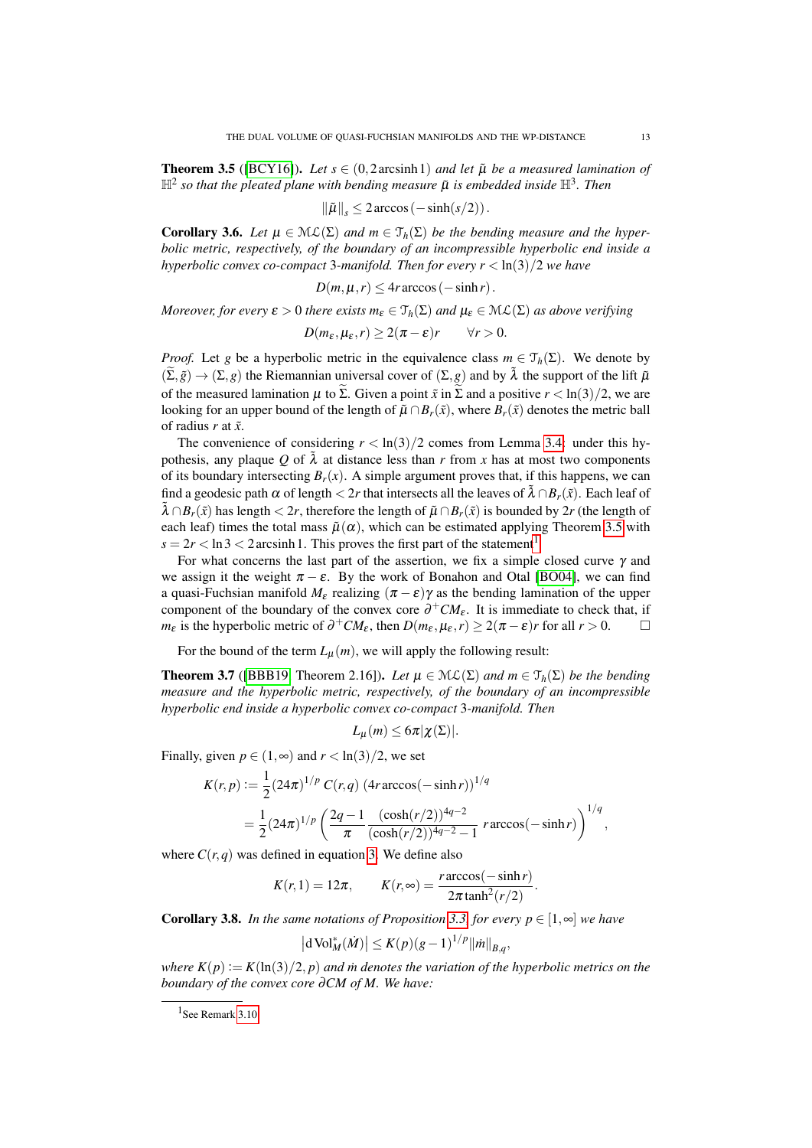<span id="page-12-2"></span>**Theorem 3.5** ([\[BCY16\]](#page-20-6)). *Let*  $s \in (0, 2 \arcsinh 1)$  *and let*  $\tilde{\mu}$  *be a measured lamination of*  $\mathbb{H}^2$  so that the pleated plane with bending measure  $\tilde{\mu}$  is embedded inside  $\mathbb{H}^3$ . Then

$$
\|\tilde{\mu}\|_{s} \leq 2\arccos\left(-\sinh(s/2)\right).
$$

<span id="page-12-1"></span>**Corollary 3.6.** Let  $\mu \in \mathcal{ML}(\Sigma)$  and  $m \in \mathcal{T}_h(\Sigma)$  be the bending measure and the hyper*bolic metric, respectively, of the boundary of an incompressible hyperbolic end inside a hyperbolic convex co-compact* 3*-manifold. Then for every r* < ln(3)/2 *we have*

$$
D(m, \mu, r) \leq 4r \arccos(-\sinh r).
$$

*Moreover, for every*  $\varepsilon > 0$  *there exists*  $m_{\varepsilon} \in \mathcal{T}_h(\Sigma)$  *and*  $\mu_{\varepsilon} \in \mathcal{ML}(\Sigma)$  *as above verifying* 

$$
D(m_{\varepsilon}, \mu_{\varepsilon}, r) \geq 2(\pi - \varepsilon)r \qquad \forall r > 0.
$$

*Proof.* Let *g* be a hyperbolic metric in the equivalence class  $m \in \mathcal{T}_h(\Sigma)$ . We denote by  $(\widetilde{\Sigma},\widetilde{g})\to(\Sigma,g)$  the Riemannian universal cover of  $(\Sigma,g)$  and by  $\widetilde{\lambda}$  the support of the lift  $\widetilde{\mu}$ of the measured lamination  $\mu$  to  $\widetilde{\Sigma}$ . Given a point  $\widetilde{x}$  in  $\widetilde{\Sigma}$  and a positive  $r < \ln(3)/2$ , we are looking for an upper bound of the length of  $\tilde{\mu} \cap B_r(\tilde{x})$ , where  $B_r(\tilde{x})$  denotes the metric ball of radius *r* at ˜*x*.

The convenience of considering  $r < ln(3)/2$  comes from Lemma [3.4:](#page-11-0) under this hypothesis, any plaque *Q* of  $\tilde{\lambda}$  at distance less than *r* from *x* has at most two components of its boundary intersecting  $B_r(x)$ . A simple argument proves that, if this happens, we can find a geodesic path  $\alpha$  of length  $\lt 2r$  that intersects all the leaves of  $\lambda \cap B_r(\tilde{x})$ . Each leaf of  $\tilde{\lambda} \cap B_r(\tilde{x})$  has length  $\lt 2r$ , therefore the length of  $\tilde{\mu} \cap B_r(\tilde{x})$  is bounded by 2*r* (the length of each leaf) times the total mass  $\tilde{\mu}(\alpha)$ , which can be estimated applying Theorem [3.5](#page-12-2) with  $s = 2r < \ln 3 < 2$  arcsinh [1](#page-12-3). This proves the first part of the statement<sup>1</sup>.

For what concerns the last part of the assertion, we fix a simple closed curve  $\gamma$  and we assign it the weight  $\pi - \varepsilon$ . By the work of Bonahon and Otal [\[BO04\]](#page-20-14), we can find a quasi-Fuchsian manifold  $M_{\epsilon}$  realizing ( $\pi - \epsilon$ ) $\gamma$  as the bending lamination of the upper component of the boundary of the convex core  $\partial^+CM_{\varepsilon}$ . It is immediate to check that, if *m*<sub>ε</sub> is the hyperbolic metric of  $\partial^+ CM_\varepsilon$ , then  $D(m_\varepsilon, \mu_\varepsilon, r) \geq 2(\pi - \varepsilon)r$  for all  $r > 0$ .

For the bound of the term  $L_u(m)$ , we will apply the following result:

<span id="page-12-4"></span>**Theorem 3.7** ([\[BBB19,](#page-20-3) Theorem 2.16]). Let  $\mu \in M\mathcal{L}(\Sigma)$  and  $m \in \mathcal{T}_h(\Sigma)$  be the bending *measure and the hyperbolic metric, respectively, of the boundary of an incompressible hyperbolic end inside a hyperbolic convex co-compact* 3*-manifold. Then*

$$
L_{\mu}(m) \leq 6\pi |\chi(\Sigma)|.
$$

Finally, given  $p \in (1, \infty)$  and  $r < \ln(3)/2$ , we set

$$
K(r,p) := \frac{1}{2} (24\pi)^{1/p} C(r,q) \left( 4r \arccos(-\sinh r) \right)^{1/q}
$$
  
= 
$$
\frac{1}{2} (24\pi)^{1/p} \left( \frac{2q-1}{\pi} \frac{(\cosh(r/2))^{4q-2}}{(\cosh(r/2))^{4q-2} - 1} r \arccos(-\sinh r) \right)^{1/q},
$$

where  $C(r, q)$  was defined in equation [3.](#page-7-2) We define also

$$
K(r,1) = 12\pi, \qquad K(r,\infty) = \frac{r \arccos(-\sinh r)}{2\pi \tanh^2(r/2)}.
$$

<span id="page-12-0"></span>**Corollary 3.8.** *In the same notations of Proposition* [3.3,](#page-11-1) *for every*  $p \in [1, \infty]$  *we have* 

$$
|\mathrm{d}\,\mathrm{Vol}_M^*(\dot{M})| \le K(p)(g-1)^{1/p} ||\dot{m}||_{B,q},
$$

*where*  $K(p) := K(\ln(3)/2, p)$  *and in denotes the variation of the hyperbolic metrics on the boundary of the convex core* ∂*CM of M. We have:*

<span id="page-12-3"></span><sup>&</sup>lt;sup>1</sup>See Remark [3.10.](#page-13-1)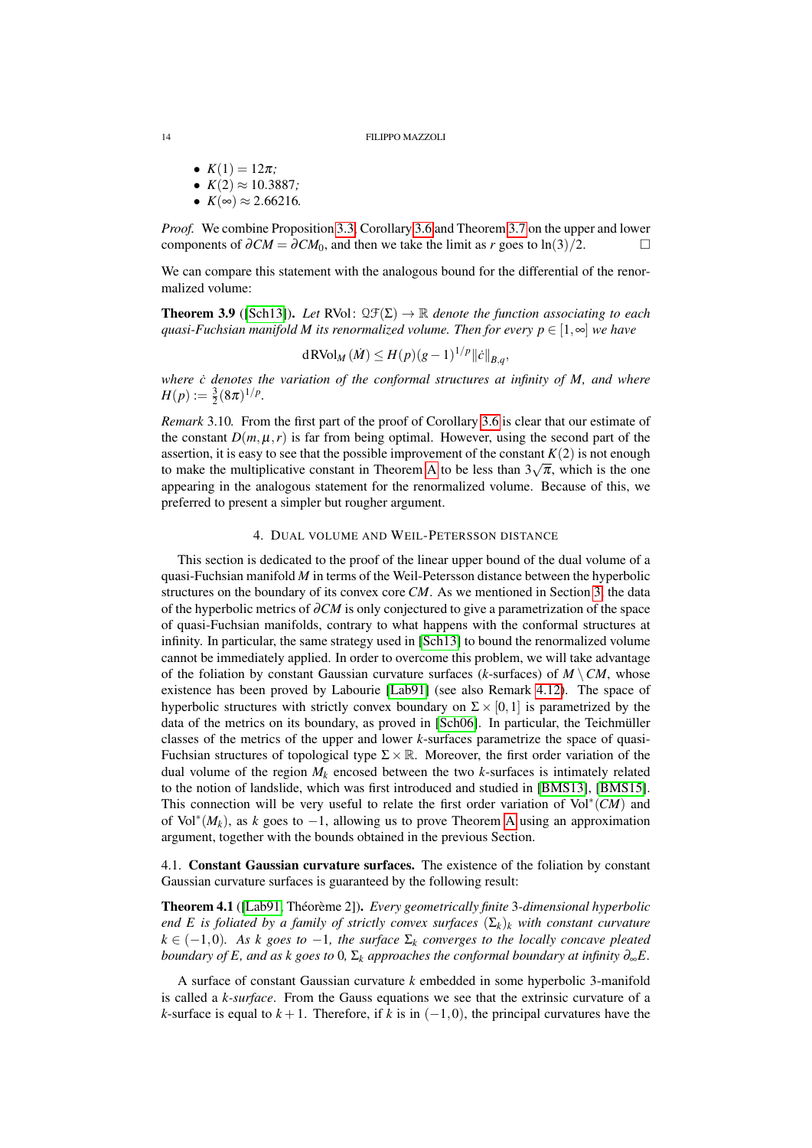- $K(1) = 12\pi$ ; •  $K(2) \approx 10.3887$ ;
- $K(\infty) \approx 2.66216$ .

*Proof.* We combine Proposition [3.3,](#page-11-1) Corollary [3.6](#page-12-1) and Theorem [3.7](#page-12-4) on the upper and lower components of  $\partial CM = \partial CM_0$ , and then we take the limit as *r* goes to ln(3)/2. □

We can compare this statement with the analogous bound for the differential of the renormalized volume:

**Theorem 3.9** ([\[Sch13\]](#page-21-0)). Let RVol:  $\mathfrak{LF}(\Sigma) \to \mathbb{R}$  denote the function associating to each *quasi-Fuchsian manifold M its renormalized volume. Then for every*  $p \in [1, \infty]$  *we have* 

$$
d\text{RVol}_M(M) \le H(p)(g-1)^{1/p} ||\dot{c}||_{B,q},
$$

*where c* denotes the variation of the conformal structures at infinity of M, and where  $H(p) \vcentcolon= \frac{3}{2}(8\pi)^{1/p}.$ 

<span id="page-13-1"></span>*Remark* 3.10*.* From the first part of the proof of Corollary [3.6](#page-12-1) is clear that our estimate of the constant  $D(m, \mu, r)$  is far from being optimal. However, using the second part of the assertion, it is easy to see that the possible improvement of the constant  $K(2)$  is not enough to make the multiplicative constant in Theorem [A](#page-1-0) to be less than  $3\sqrt{\pi}$ , which is the one appearing in the analogous statement for the renormalized volume. Because of this, we preferred to present a simpler but rougher argument.

# 4. DUAL VOLUME AND WEIL-PETERSSON DISTANCE

<span id="page-13-0"></span>This section is dedicated to the proof of the linear upper bound of the dual volume of a quasi-Fuchsian manifold *M* in terms of the Weil-Petersson distance between the hyperbolic structures on the boundary of its convex core *CM*. As we mentioned in Section [3,](#page-10-0) the data of the hyperbolic metrics of ∂*CM* is only conjectured to give a parametrization of the space of quasi-Fuchsian manifolds, contrary to what happens with the conformal structures at infinity. In particular, the same strategy used in [\[Sch13\]](#page-21-0) to bound the renormalized volume cannot be immediately applied. In order to overcome this problem, we will take advantage of the foliation by constant Gaussian curvature surfaces ( $k$ -surfaces) of  $M \setminus CM$ , whose existence has been proved by Labourie [\[Lab91\]](#page-21-9) (see also Remark [4.12\)](#page-19-0). The space of hyperbolic structures with strictly convex boundary on  $\Sigma \times [0,1]$  is parametrized by the data of the metrics on its boundary, as proved in [\[Sch06\]](#page-21-8). In particular, the Teichmüller classes of the metrics of the upper and lower *k*-surfaces parametrize the space of quasi-Fuchsian structures of topological type  $\Sigma \times \mathbb{R}$ . Moreover, the first order variation of the dual volume of the region  $M_k$  encosed between the two  $k$ -surfaces is intimately related to the notion of landslide, which was first introduced and studied in [\[BMS13\]](#page-20-7), [\[BMS15\]](#page-20-8). This connection will be very useful to relate the first order variation of Vol<sup>∗</sup> (*CM*) and of Vol<sup>∗</sup> (*Mk*), as *k* goes to −1, allowing us to prove Theorem [A](#page-1-0) using an approximation argument, together with the bounds obtained in the previous Section.

4.1. Constant Gaussian curvature surfaces. The existence of the foliation by constant Gaussian curvature surfaces is guaranteed by the following result:

<span id="page-13-2"></span>Theorem 4.1 ([\[Lab91,](#page-21-9) Théorème 2]). *Every geometrically finite* 3*-dimensional hyperbolic end E is foliated by a family of strictly convex surfaces*  $(\Sigma_k)_k$  *with constant curvature*  $k \in (-1,0)$ *. As k goes to*  $-1$ *, the surface*  $\Sigma_k$  *converges to the locally concave pleated boundary of E, and as k goes to* 0*,*  $\Sigma_k$  *approaches the conformal boundary at infinity*  $\partial_{\infty}E$ *.* 

A surface of constant Gaussian curvature *k* embedded in some hyperbolic 3-manifold is called a *k-surface*. From the Gauss equations we see that the extrinsic curvature of a *k*-surface is equal to  $k+1$ . Therefore, if *k* is in  $(-1,0)$ , the principal curvatures have the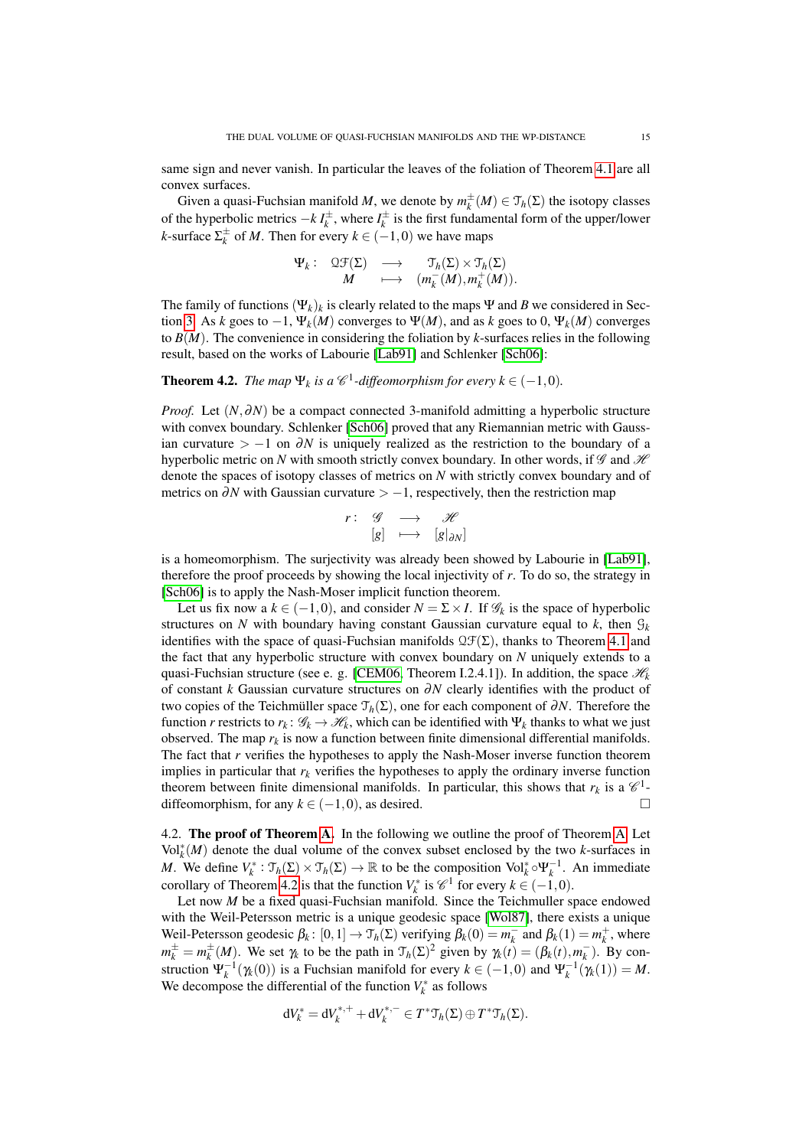same sign and never vanish. In particular the leaves of the foliation of Theorem [4.1](#page-13-2) are all convex surfaces.

Given a quasi-Fuchsian manifold *M*, we denote by  $m_k^{\pm}(M) \in \mathcal{T}_h(\Sigma)$  the isotopy classes of the hyperbolic metrics  $-k \, I_k^{\pm}$ , where  $I_k^{\pm}$  is the first fundamental form of the upper/lower *k*-surface  $\Sigma_k^{\pm}$  of *M*. Then for every  $k \in (-1,0)$  we have maps

$$
\Psi_k: \begin{array}{ccc} \mathfrak{QF}(\Sigma) & \longrightarrow & \mathfrak{T}_h(\Sigma) \times \mathfrak{T}_h(\Sigma) \\ M & \longmapsto & (m_k^-(M), m_k^+(M)). \end{array}
$$

The family of functions  $(\Psi_k)_k$  is clearly related to the maps  $\Psi$  and *B* we considered in Sec-tion [3.](#page-10-0) As *k* goes to  $-1$ ,  $\Psi_k(M)$  converges to  $\Psi(M)$ , and as *k* goes to 0,  $\Psi_k(M)$  converges to *B*(*M*). The convenience in considering the foliation by *k*-surfaces relies in the following result, based on the works of Labourie [\[Lab91\]](#page-21-9) and Schlenker [\[Sch06\]](#page-21-8):

<span id="page-14-0"></span>**Theorem 4.2.** *The map*  $\Psi_k$  *is a*  $\mathscr{C}^1$ -diffeomorphism for every  $k \in (-1,0)$ .

*Proof.* Let (*N*,∂*N*) be a compact connected 3-manifold admitting a hyperbolic structure with convex boundary. Schlenker [\[Sch06\]](#page-21-8) proved that any Riemannian metric with Gaussian curvature  $> -1$  on  $\partial N$  is uniquely realized as the restriction to the boundary of a hyperbolic metric on *N* with smooth strictly convex boundary. In other words, if  $\mathscr G$  and  $\mathscr H$ denote the spaces of isotopy classes of metrics on *N* with strictly convex boundary and of metrics on  $\partial N$  with Gaussian curvature  $> -1$ , respectively, then the restriction map

$$
\begin{array}{cccc} r: & \mathscr{G} & \longrightarrow & \mathscr{H} \\ & [g] & \longmapsto & [g|_{\partial N}] \end{array}
$$

is a homeomorphism. The surjectivity was already been showed by Labourie in [\[Lab91\]](#page-21-9), therefore the proof proceeds by showing the local injectivity of *r*. To do so, the strategy in [\[Sch06\]](#page-21-8) is to apply the Nash-Moser implicit function theorem.

Let us fix now a  $k \in (-1,0)$ , and consider  $N = \sum \times I$ . If  $\mathcal{G}_k$  is the space of hyperbolic structures on *N* with boundary having constant Gaussian curvature equal to *k*, then  $\mathcal{G}_k$ identifies with the space of quasi-Fuchsian manifolds  $\mathcal{QF}(\Sigma)$ , thanks to Theorem [4.1](#page-13-2) and the fact that any hyperbolic structure with convex boundary on *N* uniquely extends to a quasi-Fuchsian structure (see e. g. [\[CEM06,](#page-20-4) Theorem I.2.4.1]). In addition, the space  $\mathcal{H}_k$ of constant *k* Gaussian curvature structures on ∂*N* clearly identifies with the product of two copies of the Teichmüller space T*h*(Σ), one for each component of ∂*N*. Therefore the function *r* restricts to  $r_k: \mathscr{G}_k \to \mathscr{H}_k$ , which can be identified with  $\Psi_k$  thanks to what we just observed. The map  $r_k$  is now a function between finite dimensional differential manifolds. The fact that *r* verifies the hypotheses to apply the Nash-Moser inverse function theorem implies in particular that  $r_k$  verifies the hypotheses to apply the ordinary inverse function theorem between finite dimensional manifolds. In particular, this shows that  $r_k$  is a  $\mathcal{C}^1$ diffeomorphism, for any  $k \in (-1,0)$ , as desired.  $□$ 

4.2. The proof of Theorem [A.](#page-1-0) In the following we outline the proof of Theorem [A.](#page-1-0) Let  $\text{Vol}_{k}^{*}(M)$  denote the dual volume of the convex subset enclosed by the two *k*-surfaces in *M*. We define  $V_k^* : \mathcal{T}_h(\Sigma) \times \mathcal{T}_h(\Sigma) \to \mathbb{R}$  to be the composition  $Vol_k^* \circ \Psi_k^{-1}$ . An immediate corollary of Theorem [4.2](#page-14-0) is that the function  $V_k^*$  is  $\mathcal{C}^1$  for every  $k \in (-1,0)$ .

Let now *M* be a fixed quasi-Fuchsian manifold. Since the Teichmuller space endowed with the Weil-Petersson metric is a unique geodesic space [\[Wol87\]](#page-21-11), there exists a unique Weil-Petersson geodesic  $\beta_k$ :  $[0,1] \to \mathcal{T}_h(\Sigma)$  verifying  $\beta_k(0) = m_k^-$  and  $\beta_k(1) = m_k^+$ , where  $m_k^{\pm} = m_k^{\pm}(M)$ . We set  $\gamma_k$  to be the path in  $\mathcal{T}_h(\Sigma)^2$  given by  $\gamma_k(t) = (\beta_k(t), m_k^-)$ . By construction  $\Psi_k^{-1}(\gamma_k(0))$  is a Fuchsian manifold for every  $k \in (-1,0)$  and  $\Psi_k^{-1}(\gamma_k(1)) = M$ . We decompose the differential of the function  $V_k^*$  as follows

$$
dV_k^* = dV_k^{*,+} + dV_k^{*,-} \in T^* \mathfrak{T}_h(\Sigma) \oplus T^* \mathfrak{T}_h(\Sigma).
$$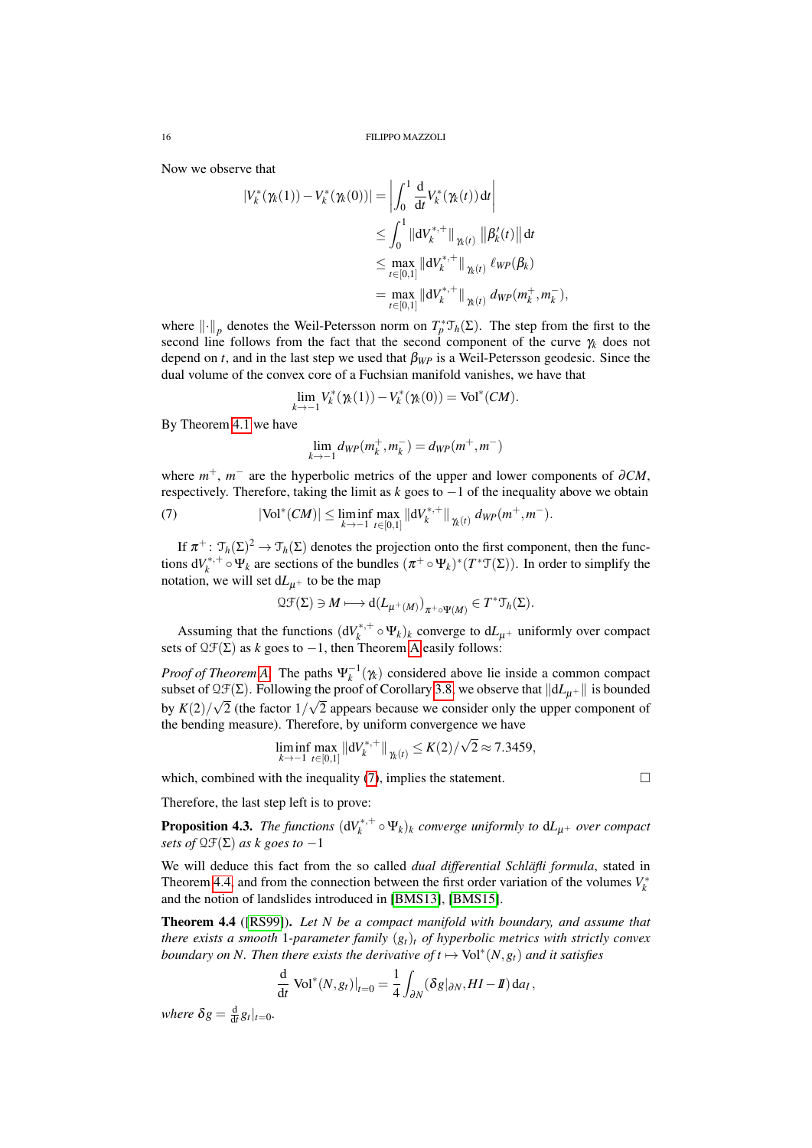Now we observe that

$$
\begin{split} |V_{k}^{*}(\gamma_{k}(1)) - V_{k}^{*}(\gamma_{k}(0))| &= \left| \int_{0}^{1} \frac{d}{dt} V_{k}^{*}(\gamma_{k}(t)) dt \right| \\ &\leq \int_{0}^{1} \left| \left| dV_{k}^{*+} \right| \right|_{\gamma_{k}(t)} \left| \left| \beta_{k}'(t) \right| \right| dt \\ &\leq \max_{t \in [0,1]} \left| \left| dV_{k}^{*+} \right| \right|_{\gamma_{k}(t)} \ell_{WP}(\beta_{k}) \\ &= \max_{t \in [0,1]} \left| \left| dV_{k}^{*+} \right| \right|_{\gamma_{k}(t)} dw_{P}(m_{k}^{+}, m_{k}^{-}), \end{split}
$$

where  $\|\cdot\|_p$  denotes the Weil-Petersson norm on  $T_p^* \mathcal{T}_h(\Sigma)$ . The step from the first to the second line follows from the fact that the second component of the curve γ*<sup>k</sup>* does not depend on *t*, and in the last step we used that  $\beta_{WP}$  is a Weil-Petersson geodesic. Since the dual volume of the convex core of a Fuchsian manifold vanishes, we have that

$$
\lim_{k \to -1} V_k^*(\gamma_k(1)) - V_k^*(\gamma_k(0)) = \text{Vol}^*(CM).
$$

By Theorem [4.1](#page-13-2) we have

<span id="page-15-1"></span>
$$
\lim_{k \to -1} d_{\mathit{WP}}(m_k^+, m_k^-) = d_{\mathit{WP}}(m^+, m^-)
$$

where  $m^+$ ,  $m^-$  are the hyperbolic metrics of the upper and lower components of  $\partial CM$ , respectively. Therefore, taking the limit as *k* goes to −1 of the inequality above we obtain

(7) 
$$
|\text{Vol}^*(CM)| \leq \liminf_{k \to -1} \max_{t \in [0,1]} ||dV_k^{*,+}||_{\gamma_k(t)} \, dw_P(m^+,m^-).
$$

If  $\pi^+$ :  $\mathfrak{T}_h(\Sigma)^2 \to \mathfrak{T}_h(\Sigma)$  denotes the projection onto the first component, then the functions  $dV_k^{*,+}$  $\chi_k^{*,+} \circ \Psi_k$  are sections of the bundles  $(\pi^+ \circ \Psi_k)^*(T^* \mathfrak{T}(\Sigma))$ . In order to simplify the notation, we will set  $dL_{\mu+}$  to be the map

$$
\mathfrak{Q}\mathfrak{F}(\Sigma)\ni M\longmapsto \textup{d}(L_{\mu^+(M)})_{\pi^+\circ \Psi(M)}\in T^*\mathfrak{T}_h(\Sigma).
$$

Assuming that the functions  $(dV_k^{*,+})$  $\mathcal{L}_k^{*,+} \circ \Psi_k$ )<sub>k</sub> converge to  $dL_{\mu^+}$  uniformly over compact sets of  $QF(Σ)$  as *k* goes to −1, then Theorem [A](#page-1-0) easily follows:

*Proof of Theorem [A.](#page-1-0)* The paths  $\Psi_k^{-1}(\gamma_k)$  considered above lie inside a common compact subset of  $\mathfrak{QF}(\Sigma)$ . Following the proof of Corollary [3.8,](#page-12-0) we observe that  $||dL_{\mu+}||$  is bounded by  $K(2)/\sqrt{2}$  (the factor  $1/\sqrt{2}$  appears because we consider only the upper component of the bending measure). Therefore, by uniform convergence we have

$$
\liminf_{k \to -1} \max_{t \in [0,1]} \| dV_k^{*,+} \|_{\gamma_k(t)} \le K(2)/\sqrt{2} \approx 7.3459,
$$

which, combined with the inequality  $(7)$ , implies the statement.

Therefore, the last step left is to prove:

<span id="page-15-0"></span>**Proposition 4.3.** *The functions*  $(dV_k^{*,+})$  $\mathcal{L}_k^{*,+} \circ \Psi_k$ )<sub>k</sub> converge uniformly to  $dL_{\mu^+}$  over compact *sets of*  $QF(\Sigma)$  *as k goes to*  $-1$ 

We will deduce this fact from the so called *dual differential Schläfli formula*, stated in Theorem [4.4,](#page-15-2) and from the connection between the first order variation of the volumes  $V_k^*$ and the notion of landslides introduced in [\[BMS13\]](#page-20-7), [\[BMS15\]](#page-20-8).

<span id="page-15-2"></span>Theorem 4.4 ([\[RS99\]](#page-21-12)). *Let N be a compact manifold with boundary, and assume that there exists a smooth* 1*-parameter family* (*gt*)*<sup>t</sup> of hyperbolic metrics with strictly convex boundary on N. Then there exists the derivative of*  $t \mapsto \text{Vol}^*(N, g_t)$  *and it satisfies* 

$$
\frac{\mathrm{d}}{\mathrm{d}t} \left[ \text{Vol}^*(N, g_t) \right]_{t=0} = \frac{1}{4} \int_{\partial N} (\delta g|_{\partial N}, H I - I) \, \mathrm{d}a_I \,,
$$

*where*  $\delta g = \frac{d}{dt} g_t |_{t=0}$ .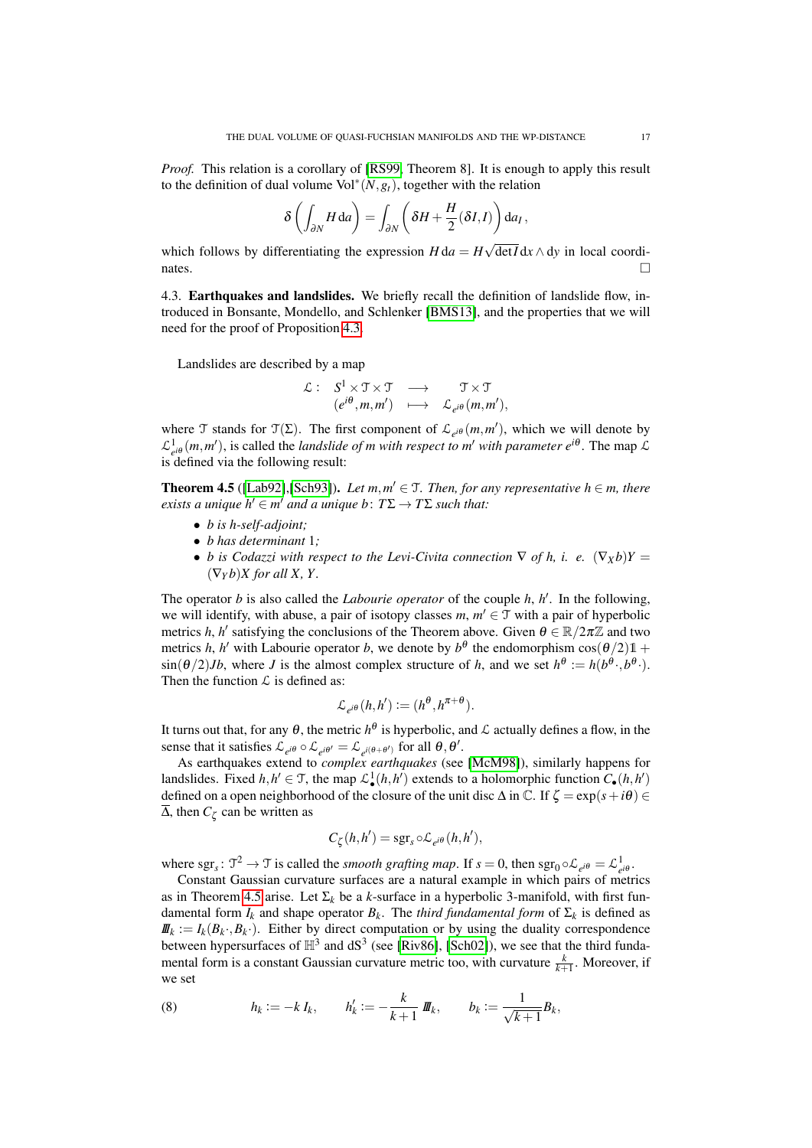*Proof.* This relation is a corollary of [\[RS99,](#page-21-12) Theorem 8]. It is enough to apply this result to the definition of dual volume  $Vol^*(N, g_t)$ , together with the relation

$$
\delta\left(\int_{\partial N} H \, \mathrm{d}a\right) = \int_{\partial N} \left(\delta H + \frac{H}{2}(\delta I, I)\right) \mathrm{d}a_I,
$$

which follows by differentiating the expression  $H d a = H$ det*I* d*x* ∧ d*y* in local coordinates.

4.3. **Earthquakes and landslides.** We briefly recall the definition of landslide flow, introduced in Bonsante, Mondello, and Schlenker [\[BMS13\]](#page-20-7), and the properties that we will need for the proof of Proposition [4.3.](#page-15-0)

Landslides are described by a map

$$
\begin{array}{cccc} \mathcal{L}: & S^1 \times \mathcal{T} \times \mathcal{T} & \longrightarrow & \mathcal{T} \times \mathcal{T} \\ & (e^{i\theta}, m, m') & \longmapsto & \mathcal{L}_{e^{i\theta}}(m, m'), \end{array}
$$

where T stands for  $\mathcal{T}(\Sigma)$ . The first component of  $\mathcal{L}_{e^{i\theta}}(m, m')$ , which we will denote by  $\mathcal{L}_{e^{i\theta}}^1(m, m')$ , is called the *landslide of m with respect to m' with parameter*  $e^{i\theta}$ *. The map*  $\mathcal{L}_{e^{i\theta}}$ is defined via the following result:

<span id="page-16-0"></span>**Theorem 4.5** ([\[Lab92\]](#page-21-13), [\[Sch93\]](#page-21-14)). Let  $m, m' \in \mathcal{T}$ . Then, for any representative  $h \in m$ , there  $\mathit{exists} \ a \ unique \ h' \in m' \ and \ a \ unique \ b: \ T\Sigma \to T\Sigma \ such \ that:$ 

- *b is h-self-adjoint;*
- *b has determinant* 1*;*
- *b* is Codazzi with respect to the Levi-Civita connection  $\nabla$  of h, i. e.  $(\nabla_X b)Y =$  $(\nabla_Y b)X$  for all X, Y.

The operator  $b$  is also called the *Labourie operator* of the couple  $h$ ,  $h'$ . In the following, we will identify, with abuse, a pair of isotopy classes  $m, m' \in \mathcal{T}$  with a pair of hyperbolic metrics *h*, *h'* satisfying the conclusions of the Theorem above. Given  $\theta \in \mathbb{R}/2\pi\mathbb{Z}$  and two metrics *h*, *h'* with Labourie operator *b*, we denote by  $b^{\theta}$  the endomorphism  $\cos(\theta/2)1 +$  $\sin(\theta/2)Jb$ , where *J* is the almost complex structure of *h*, and we set  $h^{\theta} := h(b^{\theta} \cdot, b^{\theta} \cdot)$ . Then the function  $\mathcal L$  is defined as:

$$
\mathcal{L}_{e^{i\theta}}(h, h') := (h^{\theta}, h^{\pi + \theta}).
$$

It turns out that, for any  $\theta$ , the metric  $h^\theta$  is hyperbolic, and  $\mathcal L$  actually defines a flow, in the sense that it satisfies  $\mathcal{L}_{e^{i\theta}} \circ \mathcal{L}_{e^{i\theta'}} = \mathcal{L}_{e^{i(\theta+\theta')}}$  for all  $\theta, \theta'.$ 

As earthquakes extend to *complex earthquakes* (see [\[McM98\]](#page-21-10)), similarly happens for landslides. Fixed  $h, h' \in \mathcal{T}$ , the map  $\mathcal{L}_{\bullet}^1(h, h')$  extends to a holomorphic function  $C_{\bullet}(h, h')$ defined on a open neighborhood of the closure of the unit disc  $\Delta$  in  $\mathbb{C}$ . If  $\zeta = \exp(s + i\theta) \in$  $\overline{\Delta}$ , then  $C_{\zeta}$  can be written as

$$
C_{\zeta}(h,h') = \mathrm{sgr}_{s} \circ \mathcal{L}_{e^{i\theta}}(h,h'),
$$

where sgr<sub>s</sub>:  $\mathcal{T}^2 \to \mathcal{T}$  is called the *smooth grafting map*. If  $s = 0$ , then sgr<sub>0</sub>  $\circ \mathcal{L}_{e^{i\theta}} = \mathcal{L}_{e^{i\theta}}^1$ .

Constant Gaussian curvature surfaces are a natural example in which pairs of metrics as in Theorem [4.5](#page-16-0) arise. Let  $\Sigma_k$  be a *k*-surface in a hyperbolic 3-manifold, with first fundamental form  $I_k$  and shape operator  $B_k$ . The *third fundamental form* of  $\Sigma_k$  is defined as  $I\mathbf{I}(\mathbf{I}_{k}) = I_{k}(B_{k}, B_{k})$ . Either by direct computation or by using the duality correspondence between hypersurfaces of  $\mathbb{H}^3$  and dS<sup>3</sup> (see [\[Riv86\]](#page-21-1), [\[Sch02\]](#page-21-2)), we see that the third fundamental form is a constant Gaussian curvature metric too, with curvature  $\frac{k}{k+1}$ . Moreover, if we set

(8) 
$$
h_k := -k I_k, \qquad h'_k := -\frac{k}{k+1} I I\!\!I_k, \qquad b_k := \frac{1}{\sqrt{k+1}} B_k,
$$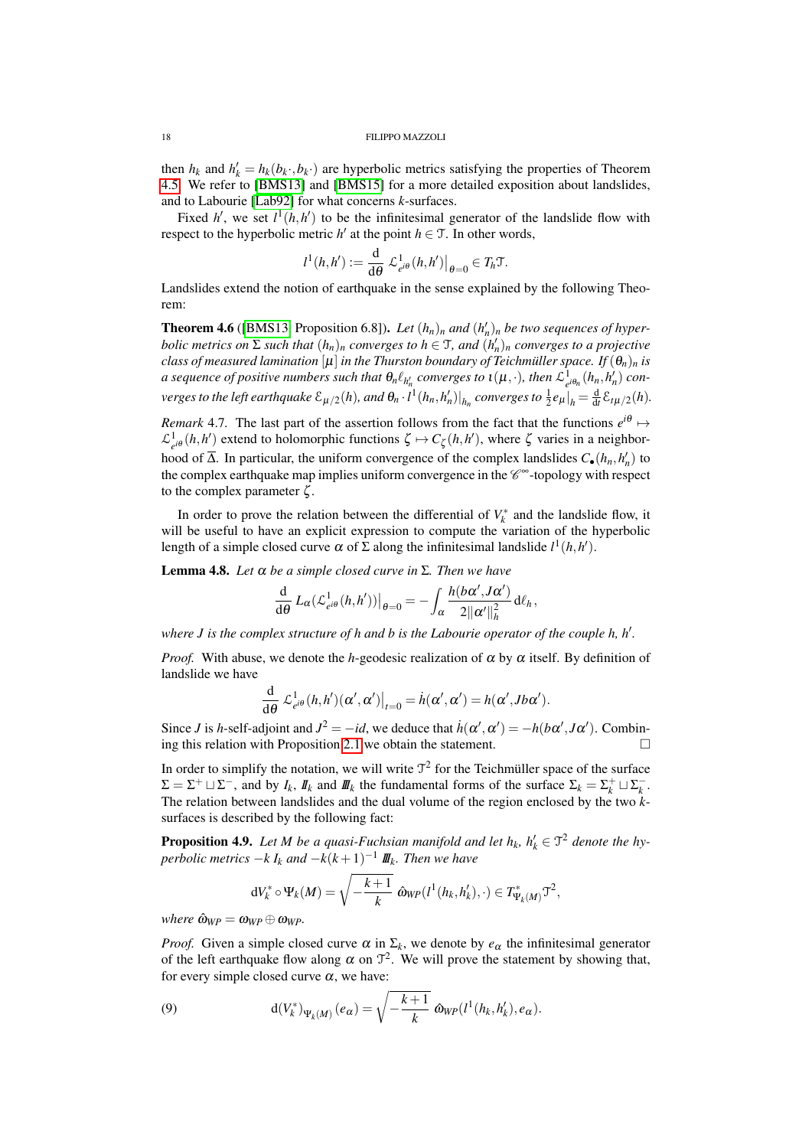then  $h_k$  and  $h'_k = h_k(b_k, b_k)$  are hyperbolic metrics satisfying the properties of Theorem [4.5.](#page-16-0) We refer to [\[BMS13\]](#page-20-7) and [\[BMS15\]](#page-20-8) for a more detailed exposition about landslides, and to Labourie [\[Lab92\]](#page-21-13) for what concerns *k*-surfaces.

Fixed *h*<sup> $\prime$ </sup>, we set  $l^1(h, h')$  to be the infinitesimal generator of the landslide flow with respect to the hyperbolic metric  $h'$  at the point  $h \in \mathcal{T}$ . In other words,

$$
l^{1}(h,h') := \frac{\mathrm{d}}{\mathrm{d}\theta} \mathcal{L}^{1}_{e^{i\theta}}(h,h')\big|_{\theta=0} \in T_{h} \mathfrak{T}.
$$

Landslides extend the notion of earthquake in the sense explained by the following Theorem:

<span id="page-17-3"></span>**Theorem 4.6** ([\[BMS13,](#page-20-7) Proposition 6.8]). *Let*  $(h_n)_n$  *and*  $(h'_n)_n$  *be two sequences of hyperbolic metrics on*  $\Sigma$  *such that*  $(h_n)_n$  *converges to*  $h \in \mathcal{T}$ *, and*  $(h'_n)_n$  *converges to a projective class of measured lamination* [ $\mu$ ] *in the Thurston boundary of Teichmüller space. If*  $(\theta_n)_n$  *is*  $a$  sequence of positive numbers such that  $\theta_n \ell_{h'_n}$  converges to  $\iota(\mu,\cdot)$ , then  $\mathcal{L}^1_{e^{i\theta_n}}(h_n,h'_n)$  converges to the left earthquake  $\mathcal{E}_{\mu/2}(h)$ , and  $\theta_n\cdot l^1(h_n,h_n')|_{h_n}$  converges to  $\frac{1}{2}e_\mu|_{h}=\frac{\mathrm{d}}{\mathrm{d}t}\mathcal{E}_{t\mu/2}(h)$ .

*Remark* 4.7. The last part of the assertion follows from the fact that the functions  $e^{i\theta} \mapsto$  $\mathcal{L}^1_{e^{i\theta}}(h, h')$  extend to holomorphic functions  $\zeta \mapsto C_{\zeta}(h, h')$ , where  $\zeta$  varies in a neighborhood of  $\overline{\Delta}$ . In particular, the uniform convergence of the complex landslides  $C_{\bullet}(h_n, h'_n)$  to the complex earthquake map implies uniform convergence in the  $\mathscr{C}^\infty$ -topology with respect to the complex parameter  $\zeta$ .

In order to prove the relation between the differential of  $V_k^*$  and the landslide flow, it will be useful to have an explicit expression to compute the variation of the hyperbolic length of a simple closed curve  $\alpha$  of  $\Sigma$  along the infinitesimal landslide  $l^1(h, h').$ 

<span id="page-17-0"></span>Lemma 4.8. *Let* α *be a simple closed curve in* Σ*. Then we have*

$$
\frac{\mathrm{d}}{\mathrm{d}\theta}\,L_{\alpha}(\mathcal{L}_{e^{i\theta}}^{1}(h,h'))\big|_{\theta=0}=-\int_{\alpha}\frac{h(b\alpha',J\alpha')}{2\|\alpha'\|_{h}^{2}}\,\mathrm{d}\ell_{h},
$$

where *J* is the complex structure of h and *b* is the Labourie operator of the couple h, h'.

*Proof.* With abuse, we denote the *h*-geodesic realization of  $\alpha$  by  $\alpha$  itself. By definition of landslide we have

$$
\frac{\mathrm{d}}{\mathrm{d}\theta} \mathcal{L}_{e^{i\theta}}^1(h, h')(\alpha', \alpha')\big|_{t=0} = \dot{h}(\alpha', \alpha') = h(\alpha', Jb\alpha').
$$

Since *J* is *h*-self-adjoint and  $J^2 = -id$ , we deduce that  $\dot{h}(\alpha', \alpha') = -h(b\alpha', J\alpha')$ . Combin-ing this relation with Proposition [2.1](#page-6-1) we obtain the statement.  $\Box$ 

In order to simplify the notation, we will write  $\mathcal{T}^2$  for the Teichmüller space of the surface  $\Sigma = \Sigma^+ \sqcup \Sigma^-$ , and by  $I_k$ ,  $I_k$  and  $I\!I\!I_k$  the fundamental forms of the surface  $\Sigma_k = \Sigma^+_k \sqcup \Sigma^-_k$ . The relation between landslides and the dual volume of the region enclosed by the two *k*surfaces is described by the following fact:

<span id="page-17-2"></span>**Proposition 4.9.** Let M be a quasi-Fuchsian manifold and let  $h_k$ ,  $h'_k \in \mathcal{T}^2$  denote the hy $p$ *erbolic metrics*  $-k$   $I_k$  *and*  $-k(k+1)^{-1}$   $I\!I\!I_k$ *. Then we have* 

$$
dV_k^* \circ \Psi_k(M) = \sqrt{-\frac{k+1}{k}} \; \hat{\omega}_{WP}(l^1(h_k, h'_k), \cdot) \in T^*_{\Psi_k(M)} \mathfrak{I}^2,
$$

 $where \ \hat{\omega}_{WP} = \omega_{WP} \oplus \omega_{WP}$ .

*Proof.* Given a simple closed curve  $\alpha$  in  $\Sigma_k$ , we denote by  $e_{\alpha}$  the infinitesimal generator of the left earthquake flow along  $\alpha$  on  $\mathcal{T}^2$ . We will prove the statement by showing that, for every simple closed curve  $\alpha$ , we have:

<span id="page-17-1"></span>(9) 
$$
d(V_k^*)_{\Psi_k(M)}(e_\alpha)=\sqrt{-\frac{k+1}{k}} \hat{\omega}_{WP}(l^1(h_k,h'_k),e_\alpha).
$$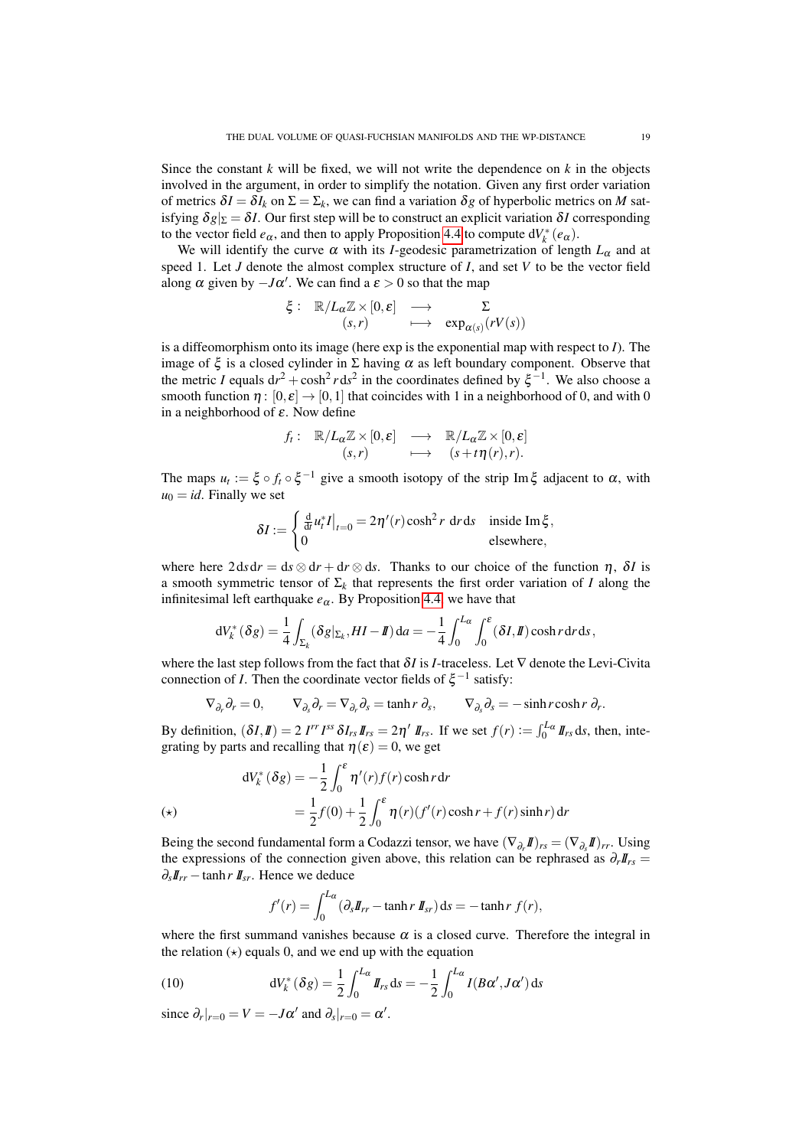Since the constant  $k$  will be fixed, we will not write the dependence on  $k$  in the objects involved in the argument, in order to simplify the notation. Given any first order variation of metrics  $\delta I = \delta I_k$  on  $\Sigma = \Sigma_k$ , we can find a variation  $\delta g$  of hyperbolic metrics on *M* satisfying  $\delta g|_{\Sigma} = \delta I$ . Our first step will be to construct an explicit variation  $\delta I$  corresponding to the vector field  $e_{\alpha}$ , and then to apply Proposition [4.4](#page-15-2) to compute  $dV_k^*(e_{\alpha})$ .

We will identify the curve  $\alpha$  with its *I*-geodesic parametrization of length  $L_{\alpha}$  and at speed 1. Let *J* denote the almost complex structure of *I*, and set *V* to be the vector field along  $\alpha$  given by  $-J\alpha'$ . We can find a  $\varepsilon > 0$  so that the map

$$
\xi: \mathbb{R}/L_{\alpha}\mathbb{Z} \times [0,\varepsilon] \longrightarrow \sum_{(s,r)} \mathbb{Z} \times [0,\varepsilon] \longrightarrow \exp_{\alpha(s)}(rV(s))
$$

is a diffeomorphism onto its image (here exp is the exponential map with respect to *I*). The image of  $\xi$  is a closed cylinder in  $\Sigma$  having  $\alpha$  as left boundary component. Observe that the metric *I* equals  $dr^2 + \cosh^2 r \, ds^2$  in the coordinates defined by  $\xi^{-1}$ . We also choose a smooth function  $\eta : [0, \varepsilon] \to [0, 1]$  that coincides with 1 in a neighborhood of 0, and with 0 in a neighborhood of  $\varepsilon$ . Now define

$$
f_t: \mathbb{R}/L_{\alpha}\mathbb{Z} \times [0,\varepsilon] \longrightarrow \mathbb{R}/L_{\alpha}\mathbb{Z} \times [0,\varepsilon]
$$
  

$$
(s,r) \longmapsto (s+t\eta(r),r).
$$

The maps  $u_t := \xi \circ f_t \circ \xi^{-1}$  give a smooth isotopy of the strip Im $\xi$  adjacent to  $\alpha$ , with  $u_0 = id$ . Finally we set

$$
\delta I := \begin{cases} \frac{\mathrm{d}}{\mathrm{d}t} u_t^* I \big|_{t=0} = 2\eta'(r) \cosh^2 r \, \mathrm{d}r \, \mathrm{d}s & \text{inside } \mathrm{Im}\,\xi, \\ 0 & \text{elsewhere,} \end{cases}
$$

where here  $2 ds dr = ds \otimes dr + dr \otimes ds$ . Thanks to our choice of the function  $\eta$ ,  $\delta I$  is a smooth symmetric tensor of  $\Sigma_k$  that represents the first order variation of *I* along the infinitesimal left earthquake  $e_{\alpha}$ . By Proposition [4.4,](#page-15-2) we have that

$$
dV_k^*(\delta g) = \frac{1}{4} \int_{\Sigma_k} (\delta g|_{\Sigma_k}, H\mathbf{I} - \mathbf{I}) da = -\frac{1}{4} \int_0^{L_\alpha} \int_0^\varepsilon (\delta \mathbf{I}, \mathbf{I}) \cosh r dr ds,
$$

where the last step follows from the fact that δ*I* is *I*-traceless. Let ∇ denote the Levi-Civita connection of *I*. Then the coordinate vector fields of  $\xi^{-1}$  satisfy:

$$
\nabla_{\partial_r} \partial_r = 0, \qquad \nabla_{\partial_s} \partial_r = \nabla_{\partial_r} \partial_s = \tanh r \, \partial_s, \qquad \nabla_{\partial_s} \partial_s = -\sinh r \cosh r \, \partial_r.
$$

By definition,  $(\delta I, I\hspace{-0.1cm}I) = 2 I^{rr} I^{ss} \delta I_{rs} I\hspace{-0.1cm}I_{rs} = 2\eta' I\hspace{-0.1cm}I_{rs}$ . If we set  $f(r) := \int_0^{L\hspace{-0.1cm}I} dI_{rs} ds$ , then, integrating by parts and recalling that  $\eta(\varepsilon) = 0$ , we get

$$
dV_k^*(\delta g) = -\frac{1}{2} \int_0^{\epsilon} \eta'(r) f(r) \cosh r dr
$$
  
(\*)
$$
= \frac{1}{2} f(0) + \frac{1}{2} \int_0^{\epsilon} \eta(r) (f'(r) \cosh r + f(r) \sinh r) dr
$$

Being the second fundamental form a Codazzi tensor, we have  $(\nabla_{\partial_r}\mathbf{I})_{rs} = (\nabla_{\partial_s}\mathbf{I})_{rr}$ . Using the expressions of the connection given above, this relation can be rephrased as  $\partial_r I\!I_{rs} =$  $\partial_s I\!\!I_{rr}$  − tanh *r*  $I\!\!I_{sr}$ . Hence we deduce

<span id="page-18-0"></span>
$$
f'(r) = \int_0^{L_{\alpha}} (\partial_s I\!\!I_{rr} - \tanh r \, I\!\!I_{sr}) ds = -\tanh r \, f(r),
$$

where the first summand vanishes because  $\alpha$  is a closed curve. Therefore the integral in the relation  $(\star)$  equals 0, and we end up with the equation

(10) 
$$
dV_k^*(\delta g) = \frac{1}{2} \int_0^{L_{\alpha}} I_{rs} ds = -\frac{1}{2} \int_0^{L_{\alpha}} I(B\alpha', J\alpha') ds
$$

since  $\partial_r|_{r=0} = V = -J\alpha'$  and  $\partial_s|_{r=0} = \alpha'$ .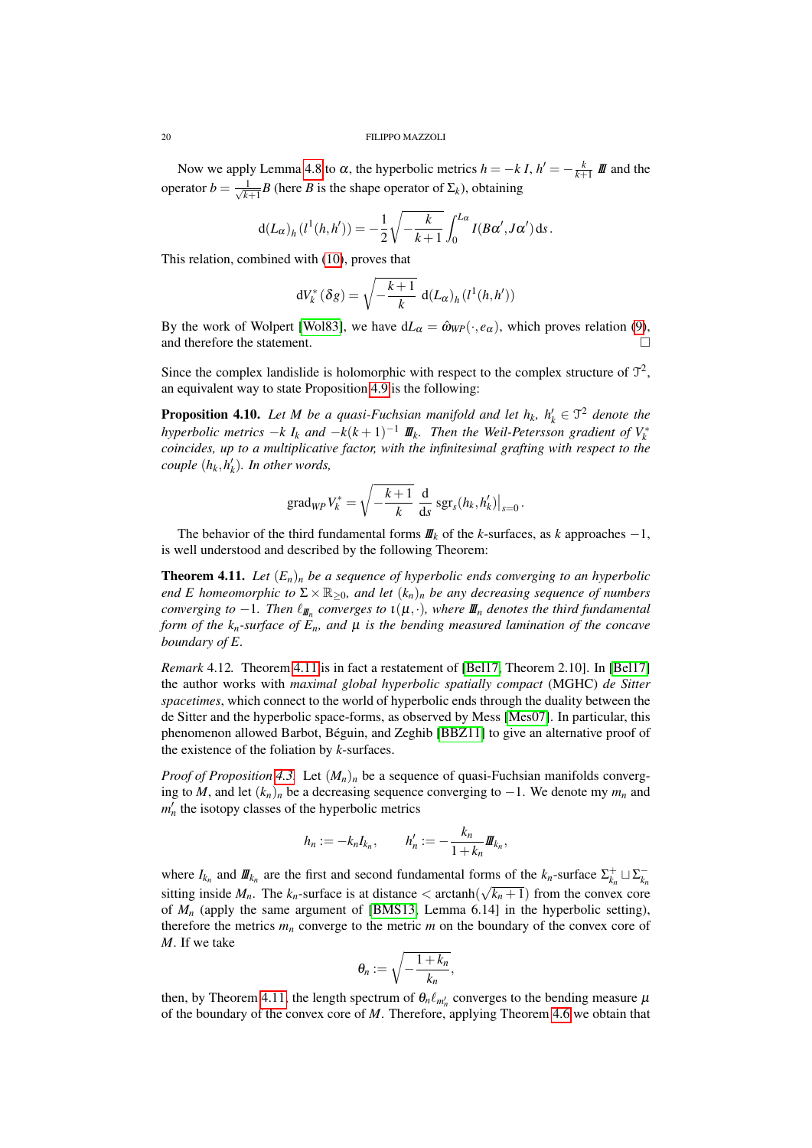Now we apply Lemma [4.8](#page-17-0) to α, the hyperbolic metrics  $h = -k I$ ,  $h' = -\frac{k}{k+1} I I I$  and the operator  $b = \frac{1}{\sqrt{k}}$  $\frac{1}{k+1}$ *B* (here *B* is the shape operator of  $\Sigma_k$ ), obtaining

$$
d(L_{\alpha})_h(l^1(h, h')) = -\frac{1}{2}\sqrt{-\frac{k}{k+1}} \int_0^{L_{\alpha}} I(B\alpha', J\alpha') ds.
$$

This relation, combined with [\(10\)](#page-18-0), proves that

$$
dV_k^*(\delta g) = \sqrt{-\frac{k+1}{k}} d(L_\alpha)_h(l^1(h, h'))
$$

By the work of Wolpert [\[Wol83\]](#page-21-15), we have  $dL_{\alpha} = \hat{\omega}_{WP}(\cdot, e_{\alpha})$ , which proves relation [\(9\)](#page-17-1), and therefore the statement.

Since the complex landislide is holomorphic with respect to the complex structure of  $\mathcal{T}^2$ , an equivalent way to state Proposition [4.9](#page-17-2) is the following:

**Proposition 4.10.** Let M be a quasi-Fuchsian manifold and let  $h_k$ ,  $h'_k \in \mathcal{T}^2$  denote the *hyperbolic metrics*  $-k$  *I<sub>k</sub>* and  $-k(k+1)^{-1}$   $\mathbf{I\!I\!I}$ <sub>k</sub>. Then the Weil-Petersson gradient of  $V_k^*$ *coincides, up to a multiplicative factor, with the infinitesimal grafting with respect to the*  $\textit{couple }(h_k, h'_k)$ *. In other words,* 

$$
\operatorname{grad}_{WP} V_k^* = \sqrt{-\frac{k+1}{k}} \frac{d}{ds} \operatorname{sgr}_s(h_k, h'_k)\big|_{s=0}.
$$

The behavior of the third fundamental forms  $I\mathcal{I}_k$  of the *k*-surfaces, as *k* approaches  $-1$ , is well understood and described by the following Theorem:

<span id="page-19-1"></span>**Theorem 4.11.** Let  $(E_n)_n$  be a sequence of hyperbolic ends converging to an hyperbolic *end E homeomorphic to*  $\Sigma \times \mathbb{R}_{\geq 0}$ *, and let*  $(k_n)_n$  *be any decreasing sequence of numbers*  $converging$  to  $-1$ *. Then*  $\ell_{I\!I\!I_n}$  converges to  $\iota(\mu,\cdot)$ , where  $I\!I\!I_n$  denotes the third fundamental *form of the*  $k_n$ *-surface of*  $E_n$ *, and*  $\mu$  *is the bending measured lamination of the concave boundary of E.*

<span id="page-19-0"></span>*Remark* 4.12*.* Theorem [4.11](#page-19-1) is in fact a restatement of [\[Bel17,](#page-20-15) Theorem 2.10]. In [\[Bel17\]](#page-20-15) the author works with *maximal global hyperbolic spatially compact* (MGHC) *de Sitter spacetimes*, which connect to the world of hyperbolic ends through the duality between the de Sitter and the hyperbolic space-forms, as observed by Mess [\[Mes07\]](#page-21-16). In particular, this phenomenon allowed Barbot, Béguin, and Zeghib [\[BBZ11\]](#page-20-16) to give an alternative proof of the existence of the foliation by *k*-surfaces.

*Proof of Proposition* [4.3.](#page-15-0) Let  $(M_n)_n$  be a sequence of quasi-Fuchsian manifolds converging to *M*, and let  $(k_n)_n$  be a decreasing sequence converging to −1. We denote my  $m_n$  and  $m'_n$  the isotopy classes of the hyperbolic metrics

$$
h_n := -k_n I_{k_n}, \qquad h'_n := -\frac{k_n}{1 + k_n} I\!I\!I_{k_n},
$$

where  $I_{k_n}$  and  $I\!\!I\!\!I_{k_n}$  are the first and second fundamental forms of the  $k_n$ -surface  $\Sigma^+_{k_n} \sqcup \Sigma^-_{k_n}$ sitting inside  $M_n$ . The  $k_n$ -surface is at distance  $\lt$  arctanh $(\sqrt{k_n+1})$  from the convex core of  $M_n$  (apply the same argument of [\[BMS13,](#page-20-7) Lemma 6.14] in the hyperbolic setting), therefore the metrics  $m_n$  converge to the metric  $m$  on the boundary of the convex core of *M*. If we take

$$
\theta_n:=\sqrt{-\frac{1+k_n}{k_n}},
$$

then, by Theorem [4.11,](#page-19-1) the length spectrum of  $\theta_n \ell_{m'_n}$  converges to the bending measure  $\mu$ of the boundary of the convex core of *M*. Therefore, applying Theorem [4.6](#page-17-3) we obtain that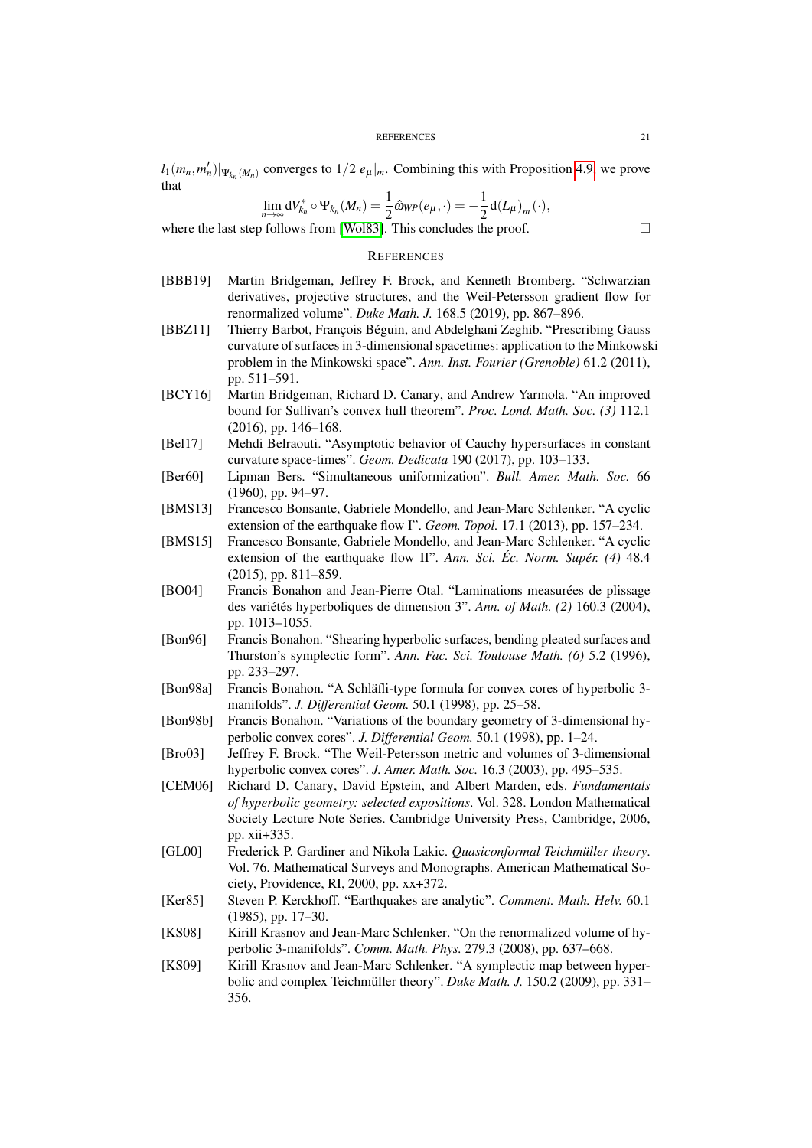$l_1(m_n, m'_n)|_{\Psi_{k_n}(M_n)}$  converges to  $1/2 e_\mu|_m$ . Combining this with Proposition [4.9,](#page-17-2) we prove that

$$
\lim_{n\to\infty} \mathrm{d}V_{k_n}^* \circ \Psi_{k_n}(M_n) = \frac{1}{2} \hat{\omega}_{WP}(e_\mu, \cdot) = -\frac{1}{2} \mathrm{d}(L_\mu)_m(\cdot),
$$

where the last step follows from [\[Wol83\]](#page-21-15). This concludes the proof.  $\Box$ 

# **REFERENCES**

- <span id="page-20-3"></span>[BBB19] Martin Bridgeman, Jeffrey F. Brock, and Kenneth Bromberg. "Schwarzian derivatives, projective structures, and the Weil-Petersson gradient flow for renormalized volume". *Duke Math. J.* 168.5 (2019), pp. 867–896.
- <span id="page-20-16"></span>[BBZ11] Thierry Barbot, François Béguin, and Abdelghani Zeghib. "Prescribing Gauss curvature of surfaces in 3-dimensional spacetimes: application to the Minkowski problem in the Minkowski space". *Ann. Inst. Fourier (Grenoble)* 61.2 (2011), pp. 511–591.
- <span id="page-20-6"></span>[BCY16] Martin Bridgeman, Richard D. Canary, and Andrew Yarmola. "An improved bound for Sullivan's convex hull theorem". *Proc. Lond. Math. Soc. (3)* 112.1 (2016), pp. 146–168.
- <span id="page-20-15"></span>[Bel17] Mehdi Belraouti. "Asymptotic behavior of Cauchy hypersurfaces in constant curvature space-times". *Geom. Dedicata* 190 (2017), pp. 103–133.
- <span id="page-20-1"></span>[Ber60] Lipman Bers. "Simultaneous uniformization". *Bull. Amer. Math. Soc.* 66 (1960), pp. 94–97.
- <span id="page-20-7"></span>[BMS13] Francesco Bonsante, Gabriele Mondello, and Jean-Marc Schlenker. "A cyclic extension of the earthquake flow I". *Geom. Topol.* 17.1 (2013), pp. 157–234.
- <span id="page-20-8"></span>[BMS15] Francesco Bonsante, Gabriele Mondello, and Jean-Marc Schlenker. "A cyclic extension of the earthquake flow II". *Ann. Sci. Éc. Norm. Supér. (4)* 48.4 (2015), pp. 811–859.
- <span id="page-20-14"></span>[BO04] Francis Bonahon and Jean-Pierre Otal. "Laminations measurées de plissage des variétés hyperboliques de dimension 3". *Ann. of Math. (2)* 160.3 (2004), pp. 1013–1055.
- <span id="page-20-10"></span>[Bon96] Francis Bonahon. "Shearing hyperbolic surfaces, bending pleated surfaces and Thurston's symplectic form". *Ann. Fac. Sci. Toulouse Math. (6)* 5.2 (1996), pp. 233–297.
- <span id="page-20-13"></span>[Bon98a] Francis Bonahon. "A Schläfli-type formula for convex cores of hyperbolic 3 manifolds". *J. Differential Geom.* 50.1 (1998), pp. 25–58.
- <span id="page-20-12"></span>[Bon98b] Francis Bonahon. "Variations of the boundary geometry of 3-dimensional hyperbolic convex cores". *J. Differential Geom.* 50.1 (1998), pp. 1–24.
- <span id="page-20-0"></span>[Bro03] Jeffrey F. Brock. "The Weil-Petersson metric and volumes of 3-dimensional hyperbolic convex cores". *J. Amer. Math. Soc.* 16.3 (2003), pp. 495–535.
- <span id="page-20-4"></span>[CEM06] Richard D. Canary, David Epstein, and Albert Marden, eds. *Fundamentals of hyperbolic geometry: selected expositions*. Vol. 328. London Mathematical Society Lecture Note Series. Cambridge University Press, Cambridge, 2006, pp. xii+335.
- <span id="page-20-9"></span>[GL00] Frederick P. Gardiner and Nikola Lakic. *Quasiconformal Teichmüller theory*. Vol. 76. Mathematical Surveys and Monographs. American Mathematical Society, Providence, RI, 2000, pp. xx+372.
- <span id="page-20-11"></span>[Ker85] Steven P. Kerckhoff. "Earthquakes are analytic". *Comment. Math. Helv.* 60.1 (1985), pp. 17–30.
- <span id="page-20-5"></span>[KS08] Kirill Krasnov and Jean-Marc Schlenker. "On the renormalized volume of hyperbolic 3-manifolds". *Comm. Math. Phys.* 279.3 (2008), pp. 637–668.
- <span id="page-20-2"></span>[KS09] Kirill Krasnov and Jean-Marc Schlenker. "A symplectic map between hyperbolic and complex Teichmüller theory". *Duke Math. J.* 150.2 (2009), pp. 331– 356.